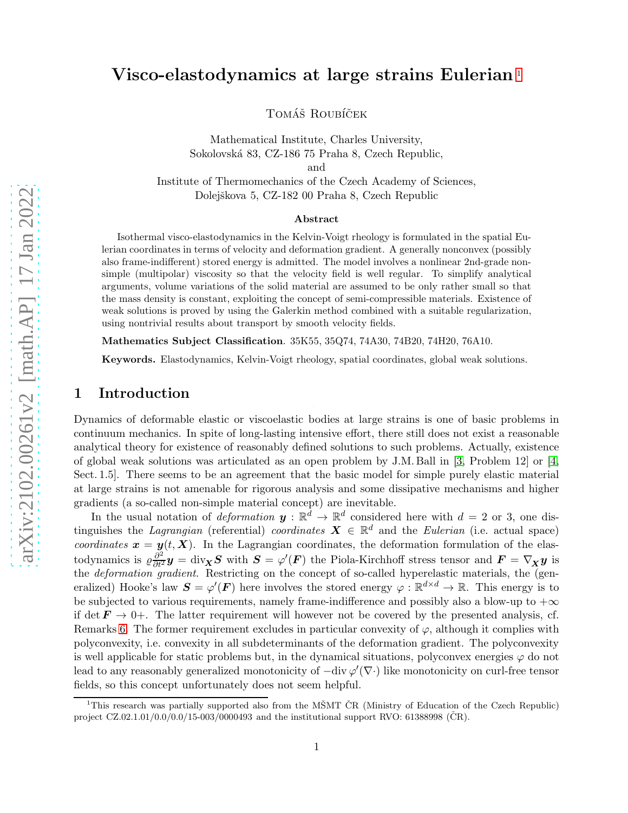# Visco-elastodynamics at large strains Eulerian [1](#page-0-0)

TOMÁŠ ROUBÍČEK

Mathematical Institute, Charles University, Sokolovsk´a 83, CZ-186 75 Praha 8, Czech Republic, and Institute of Thermomechanics of the Czech Academy of Sciences, Dolejškova 5, CZ-182 00 Praha 8, Czech Republic

#### Abstract

Isothermal visco-elastodynamics in the Kelvin-Voigt rheology is formulated in the spatial Eulerian coordinates in terms of velocity and deformation gradient. A generally nonconvex (possibly also frame-indifferent) stored energy is admitted. The model involves a nonlinear 2nd-grade nonsimple (multipolar) viscosity so that the velocity field is well regular. To simplify analytical arguments, volume variations of the solid material are assumed to be only rather small so that the mass density is constant, exploiting the concept of semi-compressible materials. Existence of weak solutions is proved by using the Galerkin method combined with a suitable regularization, using nontrivial results about transport by smooth velocity fields.

Mathematics Subject Classification. 35K55, 35Q74, 74A30, 74B20, 74H20, 76A10.

Keywords. Elastodynamics, Kelvin-Voigt rheology, spatial coordinates, global weak solutions.

#### 1 Introduction

Dynamics of deformable elastic or viscoelastic bodies at large strains is one of basic problems in continuum mechanics. In spite of long-lasting intensive effort, there still does not exist a reasonable analytical theory for existence of reasonably defined solutions to such problems. Actually, existence of global weak solutions was articulated as an open problem by J.M. Ball in [\[3,](#page-11-0) Problem 12] or [\[4,](#page-11-1) Sect. 1.5]. There seems to be an agreement that the basic model for simple purely elastic material at large strains is not amenable for rigorous analysis and some dissipative mechanisms and higher gradients (a so-called non-simple material concept) are inevitable.

In the usual notation of *deformation*  $y : \mathbb{R}^d \to \mathbb{R}^d$  considered here with  $d = 2$  or 3, one distinguishes the Lagrangian (referential) coordinates  $\mathbf{X} \in \mathbb{R}^d$  and the Eulerian (i.e. actual space) coordinates  $x = y(t, X)$ . In the Lagrangian coordinates, the deformation formulation of the elastodynamics is  $\varrho \frac{\partial^2}{\partial t^2} y = \text{div}_{\mathbf{X}} \mathbf{S}$  with  $\mathbf{S} = \varphi'(\mathbf{F})$  the Piola-Kirchhoff stress tensor and  $\mathbf{F} = \nabla_{\mathbf{X}} y$  is the *deformation gradient*. Restricting on the concept of so-called hyperelastic materials, the (generalized) Hooke's law  $S = \varphi'(F)$  here involves the stored energy  $\varphi : \mathbb{R}^{d \times d} \to \mathbb{R}$ . This energy is to be subjected to various requirements, namely frame-indifference and possibly also a blow-up to  $+\infty$ if det  $F \to 0^+$ . The latter requirement will however not be covered by the presented analysis, cf. Remarks [6.](#page-9-0) The former requirement excludes in particular convexity of  $\varphi$ , although it complies with polyconvexity, i.e. convexity in all subdeterminants of the deformation gradient. The polyconvexity is well applicable for static problems but, in the dynamical situations, polyconvex energies  $\varphi$  do not lead to any reasonably generalized monotonicity of  $-\text{div }\varphi'(\nabla \cdot)$  like monotonicity on curl-free tensor fields, so this concept unfortunately does not seem helpful.

<span id="page-0-0"></span><sup>&</sup>lt;sup>1</sup>This research was partially supported also from the MSMT CR (Ministry of Education of the Czech Republic) project  $CZ.02.1.01/0.0/0.0/15-003/0000493$  and the institutional support RVO: 61388998 (CR).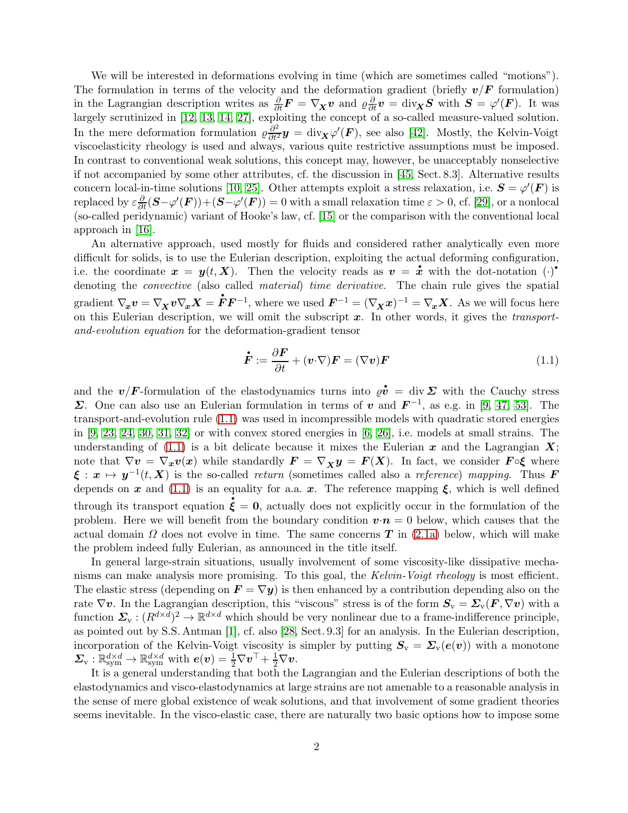We will be interested in deformations evolving in time (which are sometimes called "motions"). The formulation in terms of the velocity and the deformation gradient (briefly  $v/F$  formulation) in the Lagrangian description writes as  $\frac{\partial}{\partial t}F = \nabla_X v$  and  $\rho \frac{\partial}{\partial t} v = \text{div}_X S$  with  $S = \varphi'(F)$ . It was largely scrutinized in [\[12,](#page-11-2) [13,](#page-11-3) [14,](#page-12-0) [27\]](#page-12-1), exploiting the concept of a so-called measure-valued solution. In the mere deformation formulation  $\varrho \frac{\partial^2}{\partial t^2} y = \text{div}_{\mathbf{X}} \varphi'(\mathbf{F})$ , see also [\[42\]](#page-13-0). Mostly, the Kelvin-Voigt viscoelasticity rheology is used and always, various quite restrictive assumptions must be imposed. In contrast to conventional weak solutions, this concept may, however, be unacceptably nonselective if not accompanied by some other attributes, cf. the discussion in [\[45,](#page-13-1) Sect. 8.3]. Alternative results concern local-in-time solutions [\[10,](#page-11-4) [25\]](#page-12-2). Other attempts exploit a stress relaxation, i.e.  $S = \varphi'(F)$  is  $\text{replaced by } \varepsilon \frac{\partial}{\partial t} (\boldsymbol{S} - \varphi'(\boldsymbol{F})) + (\boldsymbol{S} - \varphi'(\boldsymbol{F})) = 0 \text{ with a small relaxation time } \varepsilon > 0, \text{ cf. [29], or a nonlocal}}$  $\text{replaced by } \varepsilon \frac{\partial}{\partial t} (\boldsymbol{S} - \varphi'(\boldsymbol{F})) + (\boldsymbol{S} - \varphi'(\boldsymbol{F})) = 0 \text{ with a small relaxation time } \varepsilon > 0, \text{ cf. [29], or a nonlocal}}$  $\text{replaced by } \varepsilon \frac{\partial}{\partial t} (\boldsymbol{S} - \varphi'(\boldsymbol{F})) + (\boldsymbol{S} - \varphi'(\boldsymbol{F})) = 0 \text{ with a small relaxation time } \varepsilon > 0, \text{ cf. [29], or a nonlocal}}$ (so-called peridynamic) variant of Hooke's law, cf. [\[15\]](#page-12-4) or the comparison with the conventional local approach in [\[16\]](#page-12-5).

An alternative approach, used mostly for fluids and considered rather analytically even more difficult for solids, is to use the Eulerian description, exploiting the actual deforming configuration,<br>i.e., the coordinate  $x = u(t, \mathbf{X})$ . Then the velocity roads as  $v = \dot{x}$  with the detection (.) difficult for solids, is to use the Eulerian description, exploiting the actual deforming configuration, i.e. the coordinate  $x = y(t, X)$ . Then the velocity reads as  $v = x$  with the dot-notation  $(\cdot)^{\bullet}$ denoting the *convective* (also called *material*) time *derivative*. The chain rule gives the spatial gradient  $\nabla_{\hspace{-1pt} x} v = \nabla_{\hspace{-1pt} X} v \nabla_{\hspace{-1pt} x} X =$ called *material*) time derivative. The chain rule gives the spatial  $\dot{F}F^{-1}$ , where we used  $F^{-1} = (\nabla_X x)^{-1} = \nabla_x X$ . As we will focus here on this Eulerian description, we will omit the subscript  $x$ . In other words, it gives the *transport*and-evolution equation for the deformation-gradient tensor

<span id="page-1-0"></span>
$$
\dot{\boldsymbol{F}} := \frac{\partial \boldsymbol{F}}{\partial t} + (\boldsymbol{v} \cdot \nabla) \boldsymbol{F} = (\nabla \boldsymbol{v}) \boldsymbol{F} \tag{1.1}
$$

 $\Sigma$ . One can also use an Eulerian formulation in terms of v and  $\mathbf{F}^{-1}$ , as e.g. in [\[9,](#page-11-5) [47,](#page-13-2) [53\]](#page-13-3). The and the  $v/F$ -formulation of the elastodynamics turns into  $\varrho \dot{v} = \text{div } \Sigma$  with the Cauchy stress transport-and-evolution rule [\(1.1\)](#page-1-0) was used in incompressible models with quadratic stored energies in  $[9, 23, 24, 30, 31, 32]$  $[9, 23, 24, 30, 31, 32]$  $[9, 23, 24, 30, 31, 32]$  $[9, 23, 24, 30, 31, 32]$  $[9, 23, 24, 30, 31, 32]$  $[9, 23, 24, 30, 31, 32]$  or with convex stored energies in  $[6, 26]$  $[6, 26]$ , i.e. models at small strains. The understanding of  $(1.1)$  is a bit delicate because it mixes the Eulerian x and the Lagrangian X; note that  $\nabla v = \nabla_x v(x)$  while standardly  $\mathbf{F} = \nabla_x y = \mathbf{F}(X)$ . In fact, we consider  $\mathbf{F} \circ \xi$  where  $\xi : x \mapsto y^{-1}(t, X)$  is the so-called return (sometimes called also a reference) mapping. Thus **F** depends on  $x$  and [\(1.1\)](#page-1-0) is an equality for a.a.  $x$ . The reference mapping  $\xi$ , which is well defined through its transport equation  $\xi = 0$ , actually does not explicitly occur in the formulation of the problem. Here we will benefit from the boundary condition  $v \cdot n = 0$  below, which causes that the actual domain  $\Omega$  does not evolve in time. The same concerns T in [\(2.1a\)](#page-2-0) below, which will make the problem indeed fully Eulerian, as announced in the title itself.

In general large-strain situations, usually involvement of some viscosity-like dissipative mechanisms can make analysis more promising. To this goal, the Kelvin-Voigt rheology is most efficient. The elastic stress (depending on  $\mathbf{F} = \nabla y$ ) is then enhanced by a contribution depending also on the rate  $\nabla v$ . In the Lagrangian description, this "viscous" stress is of the form  $S_v = \Sigma_v(F, \nabla v)$  with a function  $\Sigma_{\rm v}:(R^{d\times d})^2\to\mathbb{R}^{d\times d}$  which should be very nonlinear due to a frame-indifference principle, as pointed out by S.S. Antman [\[1\]](#page-11-7), cf. also [\[28,](#page-12-11) Sect. 9.3] for an analysis. In the Eulerian description, incorporation of the Kelvin-Voigt viscosity is simpler by putting  $S_v = \Sigma_v(e(v))$  with a monotone  $\boldsymbol{\Sigma}_\mathrm{v}:\mathbb{R}_\mathrm{sym}^{d\times d}\to\mathbb{R}_\mathrm{sym}^{d\times d}$  with  $\boldsymbol{e}(\boldsymbol{v})=\frac{1}{2}\nabla\boldsymbol{v}^\top+\frac{1}{2}\nabla\boldsymbol{v}.$ 

It is a general understanding that both the Lagrangian and the Eulerian descriptions of both the elastodynamics and visco-elastodynamics at large strains are not amenable to a reasonable analysis in the sense of mere global existence of weak solutions, and that involvement of some gradient theories seems inevitable. In the visco-elastic case, there are naturally two basic options how to impose some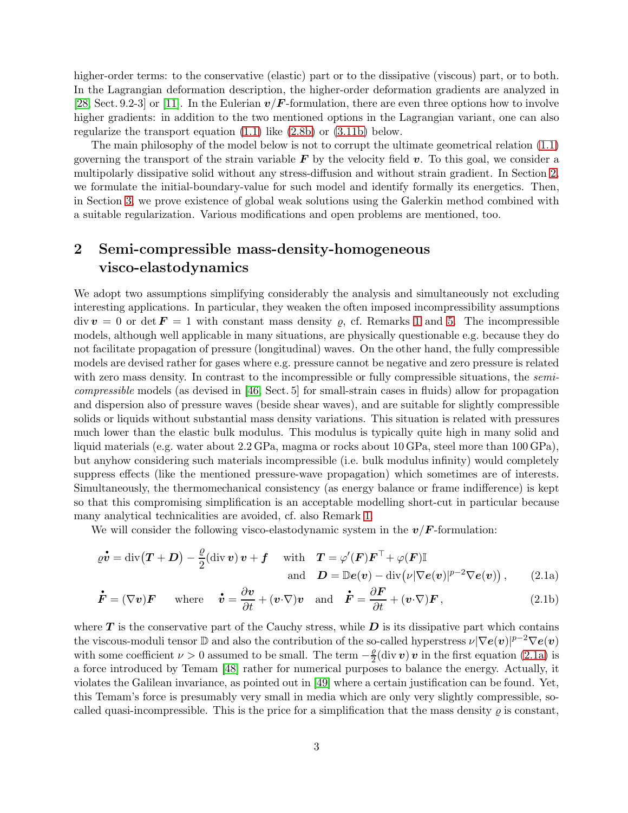higher-order terms: to the conservative (elastic) part or to the dissipative (viscous) part, or to both. In the Lagrangian deformation description, the higher-order deformation gradients are analyzed in [\[28,](#page-12-11) Sect. 9.2-3] or [\[11\]](#page-11-8). In the Eulerian  $v/F$ -formulation, there are even three options how to involve higher gradients: in addition to the two mentioned options in the Lagrangian variant, one can also regularize the transport equation [\(1.1\)](#page-1-0) like [\(2.8b\)](#page-5-0) or [\(3.11b\)](#page-9-1) below.

The main philosophy of the model below is not to corrupt the ultimate geometrical relation [\(1.1\)](#page-1-0) governing the transport of the strain variable  $\bf{F}$  by the velocity field  $\bf{v}$ . To this goal, we consider a multipolarly dissipative solid without any stress-diffusion and without strain gradient. In Section [2,](#page-2-1) we formulate the initial-boundary-value for such model and identify formally its energetics. Then, in Section [3,](#page-5-1) we prove existence of global weak solutions using the Galerkin method combined with a suitable regularization. Various modifications and open problems are mentioned, too.

## <span id="page-2-1"></span>2 Semi-compressible mass-density-homogeneous visco-elastodynamics

and dispersion also of pressure waves (beside shear waves), and are suitable for slightly compressible We adopt two assumptions simplifying considerably the analysis and simultaneously not excluding interesting applications. In particular, they weaken the often imposed incompressibility assumptions  $div \mathbf{v} = 0$  or det  $\mathbf{F} = 1$  $\mathbf{F} = 1$  with constant mass density  $\rho$ , cf. Remarks 1 and [5.](#page-9-2) The incompressible models, although well applicable in many situations, are physically questionable e.g. because they do not facilitate propagation of pressure (longitudinal) waves. On the other hand, the fully compressible models are devised rather for gases where e.g. pressure cannot be negative and zero pressure is related with zero mass density. In contrast to the incompressible or fully compressible situations, the *semi*compressible models (as devised in [\[46,](#page-13-5) Sect. 5] for small-strain cases in fluids) allow for propagation solids or liquids without substantial mass density variations. This situation is related with pressures much lower than the elastic bulk modulus. This modulus is typically quite high in many solid and liquid materials (e.g. water about 2.2 GPa, magma or rocks about 10 GPa, steel more than 100 GPa), but anyhow considering such materials incompressible (i.e. bulk modulus infinity) would completely suppress effects (like the mentioned pressure-wave propagation) which sometimes are of interests. Simultaneously, the thermomechanical consistency (as energy balance or frame indifference) is kept so that this compromising simplification is an acceptable modelling short-cut in particular because many analytical technicalities are avoided, cf. also Remark [1.](#page-4-0)

We will consider the following visco-elastodynamic system in the  $v/F$ -formulation:

<span id="page-2-2"></span>
$$
\varrho \dot{\boldsymbol{v}} = \text{div}(\boldsymbol{T} + \boldsymbol{D}) - \frac{\varrho}{2} (\text{div} \boldsymbol{v}) \boldsymbol{v} + \boldsymbol{f} \quad \text{with} \quad \boldsymbol{T} = \varphi'(\boldsymbol{F}) \boldsymbol{F}^{\top} + \varphi(\boldsymbol{F}) \mathbb{I} \n \text{and} \quad \boldsymbol{D} = \mathbb{D} \boldsymbol{e}(\boldsymbol{v}) - \text{div} (\nu |\nabla \boldsymbol{e}(\boldsymbol{v})|^{p-2} \nabla \boldsymbol{e}(\boldsymbol{v})), \qquad (2.1a)
$$

<span id="page-2-3"></span><span id="page-2-0"></span>
$$
\dot{\mathbf{F}} = (\nabla \mathbf{v}) \mathbf{F} \quad \text{where} \quad \dot{\mathbf{v}} = \frac{\partial \mathbf{v}}{\partial t} + (\mathbf{v} \cdot \nabla) \mathbf{v} \quad \text{and} \quad \dot{\mathbf{F}} = \frac{\partial \mathbf{F}}{\partial t} + (\mathbf{v} \cdot \nabla) \mathbf{F}, \tag{2.1b}
$$

where  $T$  is the conservative part of the Cauchy stress, while  $D$  is its dissipative part which contains the viscous-moduli tensor  $\mathbb D$  and also the contribution of the so-called hyperstress  $\nu|\nabla{\bm e}(\bm v)|^{p-2}\nabla{\bm e}(\bm v)$ with some coefficient  $\nu > 0$  assumed to be small. The term  $-\frac{\rho}{2}$  $\frac{\rho}{2}$ (div  $\boldsymbol{v}$ )  $\boldsymbol{v}$  in the first equation [\(2.1a\)](#page-2-0) is a force introduced by Temam [\[48\]](#page-13-6) rather for numerical purposes to balance the energy. Actually, it violates the Galilean invariance, as pointed out in [\[49\]](#page-13-7) where a certain justification can be found. Yet, this Temam's force is presumably very small in media which are only very slightly compressible, socalled quasi-incompressible. This is the price for a simplification that the mass density  $\varrho$  is constant,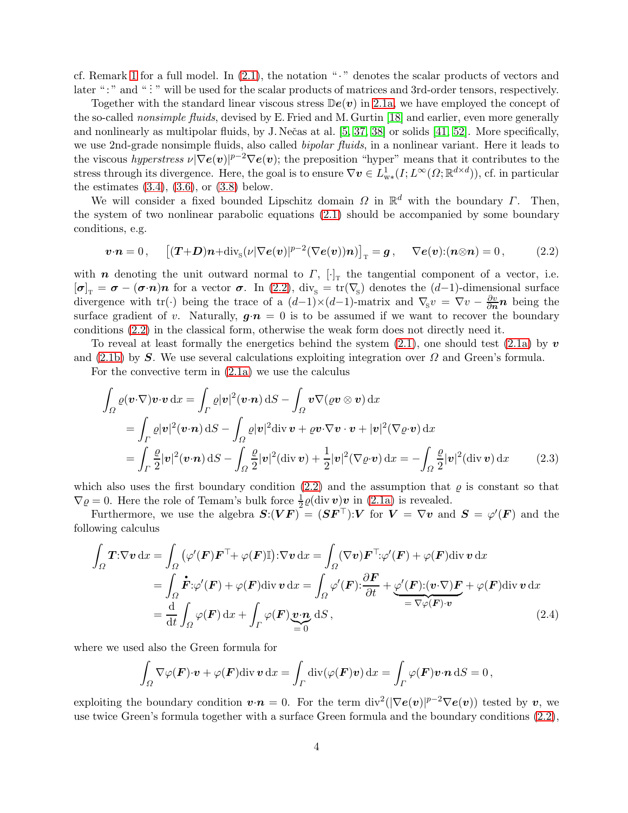cf. Remark [1](#page-4-0) for a full model. In  $(2.1)$ , the notation " $\cdot$ " denotes the scalar products of vectors and later ":" and ":" will be used for the scalar products of matrices and 3rd-order tensors, respectively.

Together with the standard linear viscous stress  $\mathbb{D}\epsilon(v)$  in [2.1a,](#page-2-0) we have employed the concept of the so-called nonsimple fluids, devised by E. Fried and M. Gurtin [\[18\]](#page-12-12) and earlier, even more generally and nonlinearly as multipolar fluids, by J. Nečas at al.  $[5, 37, 38]$  $[5, 37, 38]$  $[5, 37, 38]$  or solids  $[41, 52]$  $[41, 52]$ . More specifically, we use 2nd-grade nonsimple fluids, also called *bipolar fluids*, in a nonlinear variant. Here it leads to the viscous hyperstress  $\nu |\nabla e(\boldsymbol{v})|^{p-2} \nabla e(\boldsymbol{v})$ ; the preposition "hyper" means that it contributes to the stress through its divergence. Here, the goal is to ensure  $\nabla \mathbf{v} \in L^1_{w*}(I; L^{\infty}(\Omega; \mathbb{R}^{d \times d}))$ , cf. in particular the estimates  $(3.4)$ ,  $(3.6)$ , or  $(3.8)$  below.

We will consider a fixed bounded Lipschitz domain  $\Omega$  in  $\mathbb{R}^d$  with the boundary  $\Gamma$ . Then, the system of two nonlinear parabolic equations [\(2.1\)](#page-2-2) should be accompanied by some boundary conditions, e.g.

<span id="page-3-0"></span>
$$
\boldsymbol{v}\cdot\boldsymbol{n}=0\,,\qquad\big[(\boldsymbol{T}+\boldsymbol{D})\boldsymbol{n}+\mathrm{div}_{\mathrm{S}}(\nu|\nabla\boldsymbol{e}(\boldsymbol{v})|^{p-2}(\nabla\boldsymbol{e}(\boldsymbol{v}))\boldsymbol{n})\big]_{\mathrm{T}}=\boldsymbol{g}\,,\qquad\nabla\boldsymbol{e}(\boldsymbol{v})\colon(\boldsymbol{n}\otimes\boldsymbol{n})=0\,,\tag{2.2}
$$

with *n* denoting the unit outward normal to  $\Gamma$ ,  $[\cdot]_T$  the tangential component of a vector, i.e.  $[\sigma]_T = \sigma - (\sigma \cdot n)n$  for a vector  $\sigma$ . In [\(2.2\)](#page-3-0), div<sub>s</sub> = tr( $\nabla$ <sub>S</sub>) denotes the (d-1)-dimensional surface divergence with tr(·) being the trace of a  $(d-1) \times (d-1)$ -matrix and  $\nabla_{S} v = \nabla v - \frac{\partial v}{\partial n} n$  being the surface gradient of v. Naturally,  $g \cdot n = 0$  is to be assumed if we want to recover the boundary conditions [\(2.2\)](#page-3-0) in the classical form, otherwise the weak form does not directly need it.

To reveal at least formally the energetics behind the system  $(2.1)$ , one should test  $(2.1a)$  by v and [\(2.1b\)](#page-2-3) by S. We use several calculations exploiting integration over  $\Omega$  and Green's formula.

For the convective term in [\(2.1a\)](#page-2-0) we use the calculus

<span id="page-3-1"></span>
$$
\int_{\Omega} \varrho(\boldsymbol{v} \cdot \nabla) \boldsymbol{v} \cdot \boldsymbol{v} \,dx = \int_{\Gamma} \varrho |\boldsymbol{v}|^2 (\boldsymbol{v} \cdot \boldsymbol{n}) \,dS - \int_{\Omega} \boldsymbol{v} \nabla(\varrho \boldsymbol{v} \otimes \boldsymbol{v}) \,dx
$$
\n
$$
= \int_{\Gamma} \varrho |\boldsymbol{v}|^2 (\boldsymbol{v} \cdot \boldsymbol{n}) \,dS - \int_{\Omega} \varrho |\boldsymbol{v}|^2 \,div \boldsymbol{v} + \varrho \boldsymbol{v} \cdot \nabla \boldsymbol{v} \cdot \boldsymbol{v} + |\boldsymbol{v}|^2 (\nabla \varrho \cdot \boldsymbol{v}) \,dx
$$
\n
$$
= \int_{\Gamma} \frac{\varrho}{2} |\boldsymbol{v}|^2 (\boldsymbol{v} \cdot \boldsymbol{n}) \,dS - \int_{\Omega} \frac{\varrho}{2} |\boldsymbol{v}|^2 (\div \boldsymbol{v}) + \frac{1}{2} |\boldsymbol{v}|^2 (\nabla \varrho \cdot \boldsymbol{v}) \,dx = - \int_{\Omega} \frac{\varrho}{2} |\boldsymbol{v}|^2 (\div \boldsymbol{v}) \,dx \qquad (2.3)
$$

which also uses the first boundary condition  $(2.2)$  and the assumption that  $\varrho$  is constant so that  $\nabla \varrho = 0$ . Here the role of Temam's bulk force  $\frac{1}{2}\varrho(\text{div}\,\mathbf{v})\mathbf{v}$  in [\(2.1a\)](#page-2-0) is revealed.

Furthermore, we use the algebra  $S:(VF)^{2} = (SF^{\top}): V$  for  $V = \nabla v$  and  $S = \varphi'(F)$  and the following calculus

$$
\int_{\Omega} \mathbf{T} : \nabla \mathbf{v} \, dx = \int_{\Omega} (\varphi'(\mathbf{F}) \mathbf{F}^{\top} + \varphi(\mathbf{F}) \mathbb{I}) : \nabla \mathbf{v} \, dx = \int_{\Omega} (\nabla \mathbf{v}) \mathbf{F}^{\top} : \varphi'(\mathbf{F}) + \varphi(\mathbf{F}) \, \text{div} \, \mathbf{v} \, dx \n= \int_{\Omega} \dot{\mathbf{F}} : \varphi(\mathbf{F}) + \varphi(\mathbf{F}) \, \text{div} \, \mathbf{v} \, dx = \int_{\Omega} \varphi'(\mathbf{F}) : \frac{\partial \mathbf{F}}{\partial t} + \underbrace{\varphi'(\mathbf{F}) : (\mathbf{v} \cdot \nabla) \mathbf{F}}_{= \nabla \varphi(\mathbf{F}) \cdot \mathbf{v}} + \varphi(\mathbf{F}) \, \text{div} \, \mathbf{v} \, dx \n= \frac{d}{dt} \int_{\Omega} \varphi(\mathbf{F}) \, dx + \int_{\Gamma} \varphi(\mathbf{F}) \underbrace{\mathbf{v} \cdot \mathbf{n}}_{= 0} \, dS ,
$$
\n(2.4)

where we used also the Green formula for

<span id="page-3-2"></span>
$$
\int_{\Omega} \nabla \varphi(\boldsymbol{F}) \cdot \boldsymbol{v} + \varphi(\boldsymbol{F}) \text{div} \, \boldsymbol{v} \, \text{dx} = \int_{\Gamma} \text{div}(\varphi(\boldsymbol{F}) \boldsymbol{v}) \, \text{dx} = \int_{\Gamma} \varphi(\boldsymbol{F}) \boldsymbol{v} \cdot \boldsymbol{n} \, \text{d}S = 0,
$$

exploiting the boundary condition  $\mathbf{v} \cdot \mathbf{n} = 0$ . For the term div<sup>2</sup>( $|\nabla \mathbf{e}(\mathbf{v})|^{p-2} \nabla \mathbf{e}(\mathbf{v})$ ) tested by  $\mathbf{v}$ , we use twice Green's formula together with a surface Green formula and the boundary conditions [\(2.2\)](#page-3-0),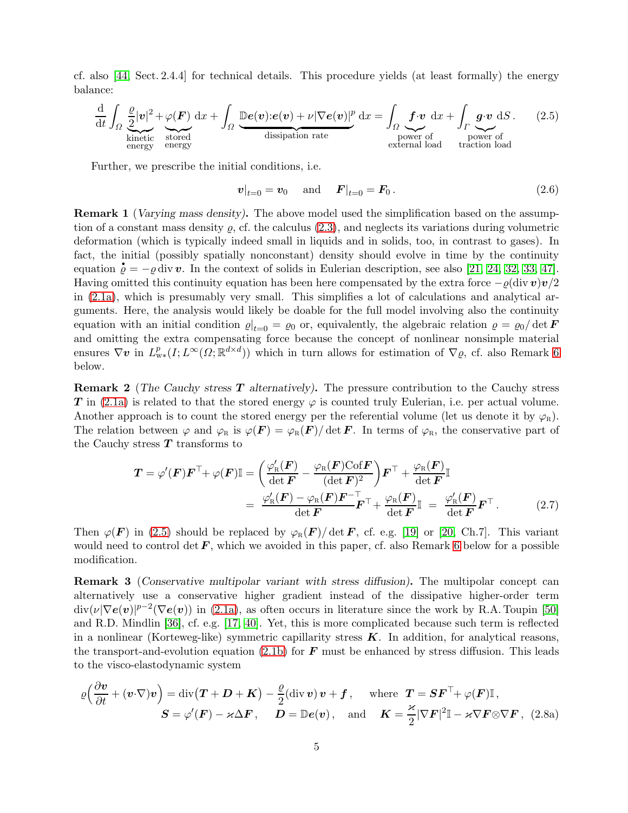cf. also [\[44,](#page-13-12) Sect. 2.4.4] for technical details. This procedure yields (at least formally) the energy balance:

$$
\frac{d}{dt} \int_{\Omega} \underbrace{\frac{\rho}{2} |v|^2}_{\text{kinetic}} + \underbrace{\varphi(\boldsymbol{F})}_{\text{stored}} dx + \int_{\Omega} \underbrace{\mathbb{D}e(v) : e(v) + \nu |\nabla e(v)|^p}_{\text{dissipation rate}} dx = \int_{\Omega} \underbrace{\boldsymbol{f} \cdot v}_{\text{power of}} dx + \int_{\Gamma} \underbrace{\boldsymbol{g} \cdot v}_{\text{power of}} dS. \tag{2.5}
$$

Further, we prescribe the initial conditions, i.e.

<span id="page-4-4"></span><span id="page-4-1"></span>
$$
v|_{t=0} = v_0 \quad \text{and} \quad F|_{t=0} = F_0. \tag{2.6}
$$

<span id="page-4-0"></span>Remark 1 (Varying mass density). The above model used the simplification based on the assumption of a constant mass density  $\rho$ , cf. the calculus [\(2.3\)](#page-3-1), and neglects its variations during volumetric deformation (which is typically indeed small in liquids and in solids, too, in contrast to gases). In fact, the initial (possibly spatially nonconstant) density should evolve in time by the continuity fact, the initial (possibly spatially nonconstant) density should evolve in time by the continuity equation  $\dot{\rho} = -\rho \, \text{div} \, \boldsymbol{v}$ . In the context of solids in Eulerian description, see also [\[21,](#page-12-13) [24,](#page-12-7) [32,](#page-13-4) [33,](#page-13-13) [47\]](#page-13-2). Having omitted this continuity equation has been here compensated by the extra force  $-\rho(\text{div}\,\bm{v})\bm{v}/2$ in [\(2.1a\)](#page-2-0), which is presumably very small. This simplifies a lot of calculations and analytical arguments. Here, the analysis would likely be doable for the full model involving also the continuity equation with an initial condition  $\varrho|_{t=0} = \varrho_0$  or, equivalently, the algebraic relation  $\rho = \varrho_0/\det \vec{F}$ and omitting the extra compensating force because the concept of nonlinear nonsimple material ensures  $\nabla$ **v** in  $L^p_{\mathbf{w}}(I; L^{\infty}(\Omega; \mathbb{R}^{d \times d}))$  which in turn allows for estimation of  $\nabla$ *Q*, cf. also Remark [6](#page-9-0) below.

**T** in [\(2.1a\)](#page-2-0) is related to that the stored energy  $\varphi$  is counted truly Eulerian, i.e. per actual volume. Remark 2 (The Cauchy stress T alternatively). The pressure contribution to the Cauchy stress Another approach is to count the stored energy per the referential volume (let us denote it by  $\varphi_R$ ). The relation between  $\varphi$  and  $\varphi_R$  is  $\varphi(\mathbf{F}) = \varphi_R(\mathbf{F})/\det \mathbf{F}$ . In terms of  $\varphi_R$ , the conservative part of the Cauchy stress  $T$  transforms to

$$
\mathbf{T} = \varphi'(\mathbf{F}) \mathbf{F}^{\top} + \varphi(\mathbf{F}) \mathbb{I} = \left( \frac{\varphi_{\rm R}'(\mathbf{F})}{\det \mathbf{F}} - \frac{\varphi_{\rm R}(\mathbf{F}) \text{Cof } \mathbf{F}}{(\det \mathbf{F})^2} \right) \mathbf{F}^{\top} + \frac{\varphi_{\rm R}(\mathbf{F})}{\det \mathbf{F}} \mathbb{I}
$$

$$
= \frac{\varphi_{\rm R}'(\mathbf{F}) - \varphi_{\rm R}(\mathbf{F}) \mathbf{F}^{-\top}}{\det \mathbf{F}} + \frac{\varphi_{\rm R}(\mathbf{F})}{\det \mathbf{F}} \mathbb{I} = \frac{\varphi_{\rm R}'(\mathbf{F})}{\det \mathbf{F}} \mathbf{F}^{\top}.
$$
(2.7)

Then  $\varphi(\mathbf{F})$  in [\(2.5\)](#page-4-1) should be replaced by  $\varphi_R(\mathbf{F})/\det \mathbf{F}$ , cf. e.g. [\[19\]](#page-12-14) or [\[20,](#page-12-15) Ch.7]. This variant would need to control det  $\bm{F}$ , which we avoided in this paper, cf. also Remark [6](#page-9-0) below for a possible modification.

<span id="page-4-3"></span>Remark 3 (Conservative multipolar variant with stress diffusion). The multipolar concept can alternatively use a conservative higher gradient instead of the dissipative higher-order term  $div(\nu|\nabla e(v)|^{p-2}(\nabla e(v))$  in [\(2.1a\)](#page-2-0), as often occurs in literature since the work by R.A. Toupin [\[50\]](#page-13-14) and R.D. Mindlin [\[36\]](#page-13-15), cf. e.g. [\[17,](#page-12-16) [40\]](#page-13-16). Yet, this is more complicated because such term is reflected in a nonlinear (Korteweg-like) symmetric capillarity stress  $K$ . In addition, for analytical reasons, the transport-and-evolution equation [\(2.1b\)](#page-2-3) for  $\bm{F}$  must be enhanced by stress diffusion. This leads to the visco-elastodynamic system

<span id="page-4-2"></span>
$$
\varrho\Big(\frac{\partial v}{\partial t} + (v\cdot\nabla)v\Big) = \text{div}\big(\boldsymbol{T} + \boldsymbol{D} + \boldsymbol{K}\big) - \frac{\varrho}{2}(\text{div}\,v)\,v + \boldsymbol{f}\,, \quad \text{where } \boldsymbol{T} = \boldsymbol{S}\boldsymbol{F}^{\top} + \varphi(\boldsymbol{F})\mathbb{I}\,,
$$

$$
\boldsymbol{S} = \varphi'(\boldsymbol{F}) - \varkappa\Delta\boldsymbol{F}\,, \quad \boldsymbol{D} = \mathbb{D}\boldsymbol{e}(v)\,, \quad \text{and } \quad \boldsymbol{K} = \frac{\varkappa}{2}|\nabla\boldsymbol{F}|^{2}\mathbb{I} - \varkappa\nabla\boldsymbol{F}\otimes\nabla\boldsymbol{F}\,, \tag{2.8a}
$$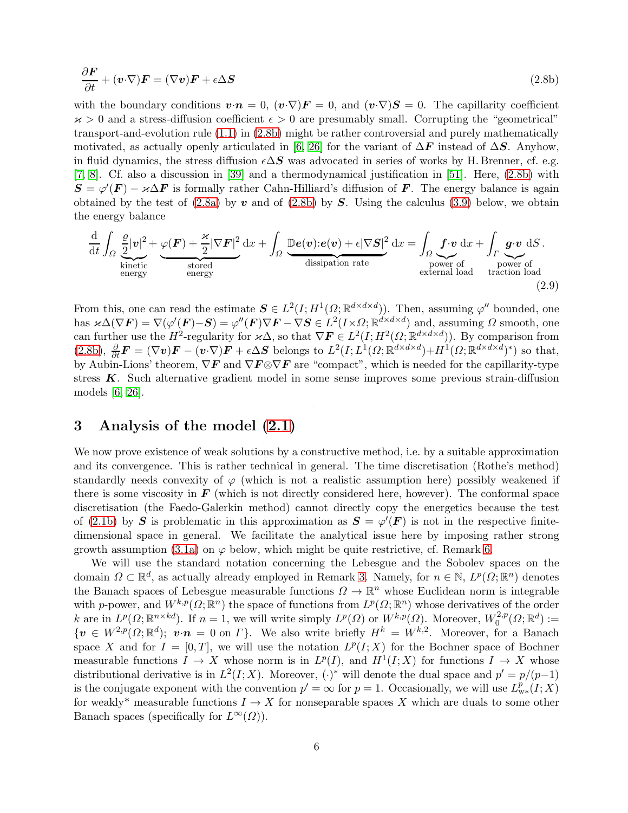<span id="page-5-0"></span>
$$
\frac{\partial \boldsymbol{F}}{\partial t} + (\boldsymbol{v} \cdot \nabla) \boldsymbol{F} = (\nabla \boldsymbol{v}) \boldsymbol{F} + \epsilon \Delta \boldsymbol{S}
$$
\n(2.8b)

with the boundary conditions  $\mathbf{v}\cdot\mathbf{n} = 0$ ,  $(\mathbf{v}\cdot\nabla)\mathbf{F} = 0$ , and  $(\mathbf{v}\cdot\nabla)\mathbf{S} = 0$ . The capillarity coefficient  $\kappa > 0$  and a stress-diffusion coefficient  $\epsilon > 0$  are presumably small. Corrupting the "geometrical" transport-and-evolution rule [\(1.1\)](#page-1-0) in [\(2.8b\)](#page-5-0) might be rather controversial and purely mathematically motivated, as actually openly articulated in [\[6,](#page-11-6) [26\]](#page-12-10) for the variant of  $\Delta F$  instead of  $\Delta S$ . Anyhow, in fluid dynamics, the stress diffusion  $\epsilon \Delta S$  was advocated in series of works by H. Brenner, cf. e.g. [\[7,](#page-11-10) [8\]](#page-11-11). Cf. also a discussion in [\[39\]](#page-13-17) and a thermodynamical justification in [\[51\]](#page-13-18). Here, [\(2.8b\)](#page-5-0) with  $S = \varphi'(F) - \varkappa \Delta F$  is formally rather Cahn-Hilliard's diffusion of F. The energy balance is again obtained by the test of  $(2.8a)$  by v and of  $(2.8b)$  by S. Using the calculus  $(3.9)$  below, we obtain the energy balance

$$
\frac{\mathrm{d}}{\mathrm{d}t} \int_{\Omega} \underbrace{\frac{\varrho}{2} |\mathbf{v}|^2}_{\text{kinetic}} + \underbrace{\varphi(\mathbf{F}) + \frac{\varkappa}{2} |\nabla \mathbf{F}|^2}_{\text{stored}} \, \mathrm{d}x + \int_{\Omega} \underbrace{\mathbb{D}e(\mathbf{v}): e(\mathbf{v}) + \epsilon |\nabla \mathbf{S}|^2}_{\text{dissipation rate}} \, \mathrm{d}x = \int_{\Omega} \underbrace{\mathbf{f} \cdot \mathbf{v}}_{\text{power of}} \, \mathrm{d}x + \int_{\Gamma} \underbrace{\mathbf{g} \cdot \mathbf{v}}_{\text{power of}} \, \mathrm{d}S.}_{\text{power of a traction load}} \tag{2.9}
$$

From this, one can read the estimate  $S \in L^2(I; H^1(\Omega;\mathbb{R}^{d \times d \times d}))$ . Then, assuming  $\varphi''$  bounded, one has  $\varkappa\Delta(\nabla F) = \nabla(\varphi'(\mathbf{F}) - \mathbf{S}) = \varphi''(\mathbf{F})\nabla \mathbf{F} - \nabla \mathbf{S} \in L^2(I \times \Omega; \mathbb{R}^{d \times d \times d})$  and, assuming  $\Omega$  smooth, one can further use the  $H^2$ -regularity for  $\varkappa\Delta$ , so that  $\nabla F \in L^2(I; H^2(\Omega;\mathbb{R}^{d\times d\times d}))$ . By comparison from  $(2.8b), \frac{\partial}{\partial t}F = (\nabla v)F - (v \cdot \nabla)F + \epsilon \Delta S$  $(2.8b), \frac{\partial}{\partial t}F = (\nabla v)F - (v \cdot \nabla)F + \epsilon \Delta S$  belongs to  $L^2(I; L^1(\Omega; \mathbb{R}^{d \times d \times d}) + H^1(\Omega; \mathbb{R}^{d \times d \times d})^*)$  so that, by Aubin-Lions' theorem,  $\nabla F$  and  $\nabla F \otimes \nabla F$  are "compact", which is needed for the capillarity-type stress  $K$ . Such alternative gradient model in some sense improves some previous strain-diffusion models [\[6,](#page-11-6) [26\]](#page-12-10).

#### <span id="page-5-1"></span>3 Analysis of the model [\(2.1\)](#page-2-2)

We now prove existence of weak solutions by a constructive method, i.e. by a suitable approximation and its convergence. This is rather technical in general. The time discretisation (Rothe's method) standardly needs convexity of  $\varphi$  (which is not a realistic assumption here) possibly weakened if there is some viscosity in  $\boldsymbol{F}$  (which is not directly considered here, however). The conformal space discretisation (the Faedo-Galerkin method) cannot directly copy the energetics because the test of [\(2.1b\)](#page-2-3) by S is problematic in this approximation as  $S = \varphi'(F)$  is not in the respective finitedimensional space in general. We facilitate the analytical issue here by imposing rather strong growth assumption [\(3.1a\)](#page-6-0) on  $\varphi$  below, which might be quite restrictive, cf. Remark [6.](#page-9-0)

We will use the standard notation concerning the Lebesgue and the Sobolev spaces on the domain  $\Omega \subset \mathbb{R}^d$ , as actually already employed in Remark [3.](#page-4-3) Namely, for  $n \in \mathbb{N}$ ,  $L^p(\Omega; \mathbb{R}^n)$  denotes the Banach spaces of Lebesgue measurable functions  $\Omega \to \mathbb{R}^n$  whose Euclidean norm is integrable with p-power, and  $W^{k,p}(\Omega;\mathbb{R}^n)$  the space of functions from  $L^p(\Omega;\mathbb{R}^n)$  whose derivatives of the order k are in  $L^p(\Omega;\mathbb{R}^{n\times kd})$ . If  $n=1$ , we will write simply  $L^p(\Omega)$  or  $W^{k,p}(\Omega)$ . Moreover,  $W_0^{2,p}$  $\sigma^{2,p}_0(\Omega;\mathbb{R}^d):=$  $\{v \in W^{2,p}(\Omega;\mathbb{R}^d); v \cdot n = 0 \text{ on } \Gamma\}.$  We also write briefly  $H^k = W^{k,2}$ . Moreover, for a Banach space X and for  $I = [0, T]$ , we will use the notation  $L^p(I; X)$  for the Bochner space of Bochner measurable functions  $I \to X$  whose norm is in  $L^p(I)$ , and  $H^1(I;X)$  for functions  $I \to X$  whose distributional derivative is in  $L^2(I;X)$ . Moreover,  $(\cdot)^*$  will denote the dual space and  $p' = p/(p-1)$ is the conjugate exponent with the convention  $p' = \infty$  for  $p = 1$ . Occasionally, we will use  $L^p_{w*}(I;X)$ for weakly\* measurable functions  $I \to X$  for nonseparable spaces X which are duals to some other Banach spaces (specifically for  $L^{\infty}(\Omega)$ ).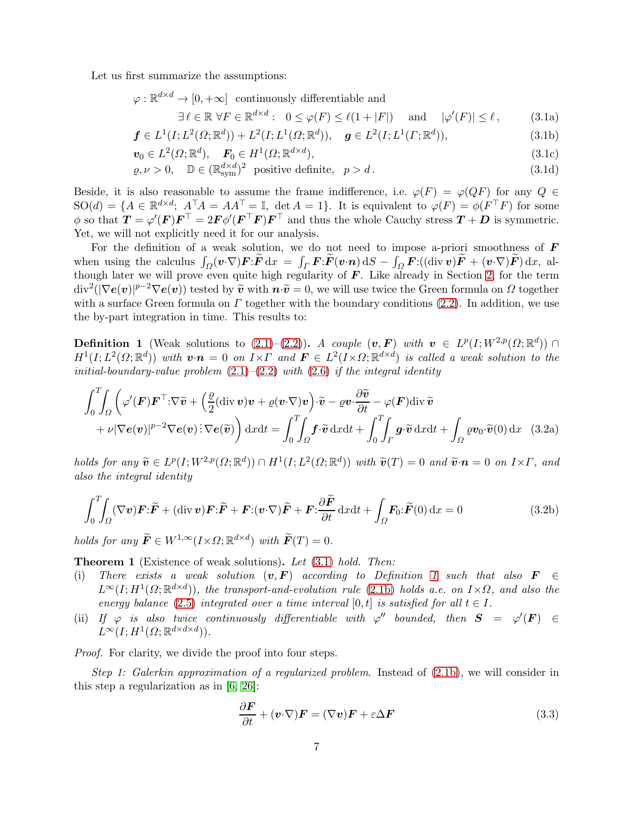Let us first summarize the assumptions:

$$
\varphi:\mathbb{R}^{d\times d}\to[0,+\infty]
$$
 continuously differentiable and

<span id="page-6-6"></span><span id="page-6-4"></span><span id="page-6-1"></span><span id="page-6-0"></span>
$$
\exists \ell \in \mathbb{R} \,\forall F \in \mathbb{R}^{d \times d}: \ 0 \le \varphi(F) \le \ell(1+|F|) \quad \text{and} \quad |\varphi'(F)| \le \ell \,, \tag{3.1a}
$$

$$
\mathbf{f} \in L^{1}(I; L^{2}(\Omega; \mathbb{R}^{d})) + L^{2}(I; L^{1}(\Omega; \mathbb{R}^{d})), \quad \mathbf{g} \in L^{2}(I; L^{1}(\Gamma; \mathbb{R}^{d})), \tag{3.1b}
$$

$$
\boldsymbol{v}_0 \in L^2(\Omega; \mathbb{R}^d), \quad \boldsymbol{F}_0 \in H^1(\Omega; \mathbb{R}^{d \times d}), \tag{3.1c}
$$

$$
\varrho, \nu > 0, \quad \mathbb{D} \in (\mathbb{R}_{sym}^{d \times d})^2 \text{ positive definite}, \quad p > d. \tag{3.1d}
$$

Beside, it is also reasonable to assume the frame indifference, i.e.  $\varphi(F) = \varphi(QF)$  for any  $Q \in$  $SO(d) = \{A \in \mathbb{R}^{d \times d}; A^{\top}A = AA^{\top} = \mathbb{I}, \det A = 1\}.$  It is equivalent to  $\varphi(F) = \phi(F^{\top}F)$  for some  $\phi$  so that  $\mathbf{T} = \varphi'(\mathbf{F}) \mathbf{F}^{\top} = 2\mathbf{F} \phi'(\mathbf{F}^{\top} \mathbf{F}) \mathbf{F}^{\top}$  and thus the whole Cauchy stress  $\mathbf{T} + \mathbf{D}$  is symmetric. Yet, we will not explicitly need it for our analysis.

For the definition of a weak solution, we do not need to impose a-priori smoothness of  $\bm{F}$ when using the calculus  $\int_{\Omega} (\boldsymbol{v} \cdot \nabla) \boldsymbol{F} \cdot \tilde{\boldsymbol{F}} \, dx = \int_{\Gamma} \boldsymbol{F} \cdot \tilde{\boldsymbol{F}} (\boldsymbol{v} \cdot \boldsymbol{n}) \, dS - \int_{\Omega} \boldsymbol{F} \cdot ((\text{div } \boldsymbol{v}) \tilde{\boldsymbol{F}} + (\boldsymbol{v} \cdot \nabla) \tilde{\boldsymbol{F}}) \, dx$ , although later we will prove even quite high regularity of  $\boldsymbol{F}$ . Like already in Section [2,](#page-2-1) for the term  $\overline{\text{div}^2(|\nabla e(v)|^{p-2}\nabla e(v)})$  tested by  $\overline{\tilde{v}}$  with  $\overline{n \cdot \tilde{v}} = 0$ , we will use twice the Green formula on  $\Omega$  together with a surface Green formula on  $\Gamma$  together with the boundary conditions [\(2.2\)](#page-3-0). In addition, we use the by-part integration in time. This results to:

<span id="page-6-2"></span>**Definition 1** (Weak solutions to  $(2.1)-(2.2)$  $(2.1)-(2.2)$ ). A couple  $(v, F)$  with  $v \in L^p(I; W^{2,p}(\Omega; \mathbb{R}^d))$  $H^1(I;L^2(\Omega;\mathbb{R}^d))$  with  $\bm{v}\cdot\bm{n}=0$  on  $I\times I$  and  $\bm{F}\in L^2(I\times\Omega;\mathbb{R}^{d\times d})$  is called a weak solution to the initial-boundary-value problem  $(2.1)$ – $(2.2)$  with  $(2.6)$  if the integral identity

$$
\int_0^T \int_{\Omega} \left( \varphi'(\mathbf{F}) \mathbf{F}^\top \cdot \nabla \widetilde{\mathbf{v}} + \left( \frac{\varrho}{2} (\text{div } \mathbf{v}) \mathbf{v} + \varrho (\mathbf{v} \cdot \nabla) \mathbf{v} \right) \cdot \widetilde{\mathbf{v}} - \varrho \mathbf{v} \cdot \frac{\partial \widetilde{\mathbf{v}}}{\partial t} - \varphi(\mathbf{F}) \text{div } \widetilde{\mathbf{v}} + \nu |\nabla e(\mathbf{v})|^{p-2} \nabla e(\mathbf{v}) \cdot \nabla e(\widetilde{\mathbf{v}}) \right) dxdt = \int_0^T \int_{\Omega} \mathbf{f} \cdot \widetilde{\mathbf{v}} dxdt + \int_0^T \int_{\Gamma} \mathbf{g} \cdot \widetilde{\mathbf{v}} dxdt + \int_{\Omega} \varrho v_0 \cdot \widetilde{\mathbf{v}}(0) d\mathbf{x} \quad (3.2a)
$$

holds for any  $\widetilde{\mathbf{v}} \in L^p(I; W^{2,p}(\Omega; \mathbb{R}^d)) \cap H^1(I; L^2(\Omega; \mathbb{R}^d))$  with  $\widetilde{\mathbf{v}}(T) = 0$  and  $\widetilde{\mathbf{v}} \cdot \mathbf{n} = 0$  on  $I \times \Gamma$ , and also the integral identity

$$
\int_0^T \int_{\Omega} (\nabla \mathbf{v}) \mathbf{F} \cdot \tilde{\mathbf{F}} + (\text{div } \mathbf{v}) \mathbf{F} \cdot \tilde{\mathbf{F}} + \mathbf{F} \cdot (\mathbf{v} \cdot \nabla) \tilde{\mathbf{F}} + \mathbf{F} \cdot \frac{\partial \tilde{\mathbf{F}}}{\partial t} dx dt + \int_{\Omega} \mathbf{F}_0 \cdot \tilde{\mathbf{F}}(0) dx = 0
$$
\n(3.2b)

holds for any  $\widetilde{F} \in W^{1,\infty}(I \times \Omega; \mathbb{R}^{d \times d})$  with  $\widetilde{F}(T) = 0$ .

Theorem 1 (Existence of weak solutions). Let [\(3.1\)](#page-6-1) hold. Then:

- (i) There exists a weak solution  $(v, F)$  according to Definition [1](#page-6-2) such that also  $F \in$  $L^{\infty}(I; H^{1}(\Omega;\mathbb{R}^{d\times d}))$ , the transport-and-evolution rule [\(2.1b\)](#page-2-3) holds a.e. on  $I\times\Omega$ , and also the energy balance [\(2.5\)](#page-4-1) integrated over a time interval [0, t] is satisfied for all  $t \in I$ .
- (ii) If  $\varphi$  is also twice continuously differentiable with  $\varphi''$  bounded, then  $S = \varphi'(F) \in$  $L^{\infty}(I; H^{1}(\Omega;\mathbb{R}^{d\times d\times d}))$ .

Proof. For clarity, we divide the proof into four steps.

Step 1: Galerkin approximation of a regularized problem. Instead of  $(2.1b)$ , we will consider in this step a regularization as in [\[6,](#page-11-6) [26\]](#page-12-10):

<span id="page-6-5"></span><span id="page-6-3"></span>
$$
\frac{\partial \boldsymbol{F}}{\partial t} + (\boldsymbol{v} \cdot \nabla) \boldsymbol{F} = (\nabla \boldsymbol{v}) \boldsymbol{F} + \varepsilon \Delta \boldsymbol{F}
$$
\n(3.3)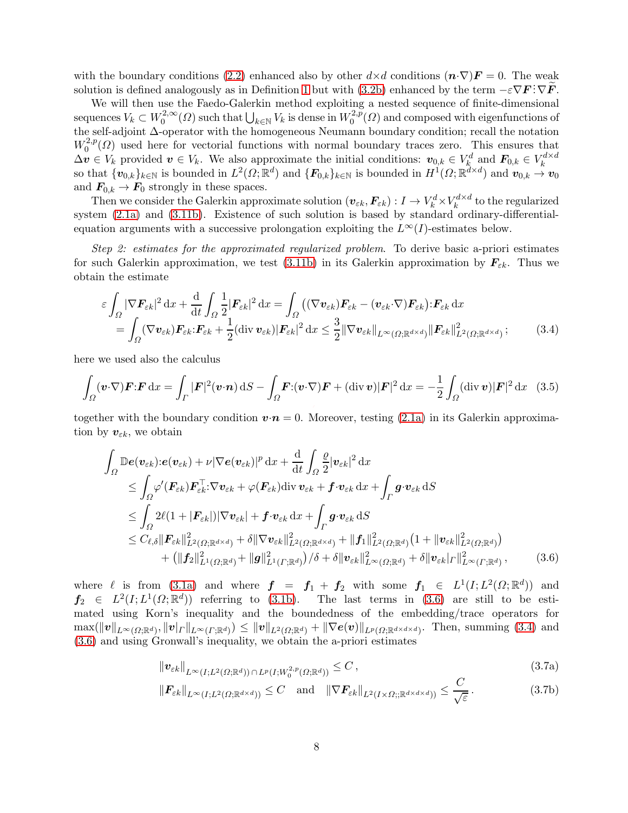with the boundary conditions [\(2.2\)](#page-3-0) enhanced also by other  $d \times d$  conditions  $(n \cdot \nabla) \mathbf{F} = 0$ . The weak solution is defined analogously as in Definition [1](#page-6-2) but with [\(3.2b\)](#page-6-3) enhanced by the term  $-\varepsilon \nabla F : \nabla \tilde{F}$ .

We will then use the Faedo-Galerkin method exploiting a nested sequence of finite-dimensional sequences  $V_k \subset W_0^{2,\infty}$  $\bigcup_{0}^{2,\infty} (Omega)$  such that  $\bigcup_{k \in \mathbb{N}} V_k$  is dense in  $W_0^{2,p}$  $0^{2,p}(\Omega)$  and composed with eigenfunctions of the self-adjoint ∆-operator with the homogeneous Neumann boundary condition; recall the notation  $W_0^{2,p}$  $\int_0^{2,p}(\Omega)$  used here for vectorial functions with normal boundary traces zero. This ensures that  $\Delta v \in V_k$  provided  $v \in V_k$ . We also approximate the initial conditions:  $v_{0,k} \in V_k^d$  and  $\mathbf{F}_{0,k} \in V_k^{d \times d}$ so that  $\{v_{0,k}\}_{k\in\mathbb{N}}$  is bounded in  $L^2(\Omega;\mathbb{R}^d)$  and  $\{F_{0,k}\}_{k\in\mathbb{N}}$  is bounded in  $H^1(\Omega;\mathbb{R}^{d\times d})$  and  $v_{0,k}\to v_0$ and  $\mathbf{F}_{0,k} \to \mathbf{F}_0$  strongly in these spaces.

Then we consider the Galerkin approximate solution  $(\bm{v}_{\varepsilon k},\bm{F}_{\varepsilon k}): I \to V^d_k \times V^{d \times d}_k$  $\kappa^{a \times a}$  to the regularized system [\(2.1a\)](#page-2-0) and [\(3.11b\)](#page-9-1). Existence of such solution is based by standard ordinary-differentialequation arguments with a successive prolongation exploiting the  $L^{\infty}(I)$ -estimates below.

Step 2: estimates for the approximated regularized problem. To derive basic a-priori estimates for such Galerkin approximation, we test [\(3.11b\)](#page-9-1) in its Galerkin approximation by  $\mathbf{F}_{\varepsilon k}$ . Thus we obtain the estimate

<span id="page-7-0"></span>
$$
\varepsilon \int_{\Omega} |\nabla \mathbf{F}_{\varepsilon k}|^2 dx + \frac{d}{dt} \int_{\Omega} \frac{1}{2} |\mathbf{F}_{\varepsilon k}|^2 dx = \int_{\Omega} ((\nabla \mathbf{v}_{\varepsilon k}) \mathbf{F}_{\varepsilon k} - (\mathbf{v}_{\varepsilon k} \cdot \nabla) \mathbf{F}_{\varepsilon k}) : \mathbf{F}_{\varepsilon k} dx \n= \int_{\Omega} (\nabla \mathbf{v}_{\varepsilon k}) \mathbf{F}_{\varepsilon k} : \mathbf{F}_{\varepsilon k} + \frac{1}{2} (\text{div } \mathbf{v}_{\varepsilon k}) |\mathbf{F}_{\varepsilon k}|^2 dx \leq \frac{3}{2} ||\nabla \mathbf{v}_{\varepsilon k}||_{L^{\infty}(\Omega; \mathbb{R}^{d \times d})} ||\mathbf{F}_{\varepsilon k}||_{L^2(\Omega; \mathbb{R}^{d \times d})}^2 ;
$$
\n(3.4)

here we used also the calculus

$$
\int_{\Omega} (\boldsymbol{v} \cdot \nabla) \boldsymbol{F} : \boldsymbol{F} \, dx = \int_{\Gamma} |\boldsymbol{F}|^2 (\boldsymbol{v} \cdot \boldsymbol{n}) \, dS - \int_{\Omega} \boldsymbol{F} : (\boldsymbol{v} \cdot \nabla) \boldsymbol{F} + (\text{div} \, \boldsymbol{v}) |\boldsymbol{F}|^2 \, dx = -\frac{1}{2} \int_{\Omega} (\text{div} \, \boldsymbol{v}) |\boldsymbol{F}|^2 \, dx \tag{3.5}
$$

together with the boundary condition  $\mathbf{v}\cdot\mathbf{n}=0$ . Moreover, testing [\(2.1a\)](#page-2-0) in its Galerkin approximation by  $v_{\varepsilon k}$ , we obtain

$$
\int_{\Omega} \mathbb{D}\boldsymbol{e}(\boldsymbol{v}_{\varepsilon k}) \cdot \boldsymbol{e}(\boldsymbol{v}_{\varepsilon k}) + \nu |\nabla \boldsymbol{e}(\boldsymbol{v}_{\varepsilon k})|^p \, dx + \frac{d}{dt} \int_{\Omega} \frac{\rho}{2} |\boldsymbol{v}_{\varepsilon k}|^2 \, dx \n\leq \int_{\Omega} \varphi'(\boldsymbol{F}_{\varepsilon k}) \boldsymbol{F}_{\varepsilon k}^\top \cdot \nabla \boldsymbol{v}_{\varepsilon k} + \varphi(\boldsymbol{F}_{\varepsilon k}) \, \text{div } \boldsymbol{v}_{\varepsilon k} + \boldsymbol{f} \cdot \boldsymbol{v}_{\varepsilon k} \, dx + \int_{\Gamma} \boldsymbol{g} \cdot \boldsymbol{v}_{\varepsilon k} \, dS \n\leq \int_{\Omega} 2\ell (1 + |\boldsymbol{F}_{\varepsilon k}|) |\nabla \boldsymbol{v}_{\varepsilon k}| + \boldsymbol{f} \cdot \boldsymbol{v}_{\varepsilon k} \, dx + \int_{\Gamma} \boldsymbol{g} \cdot \boldsymbol{v}_{\varepsilon k} \, dS \n\leq C_{\ell, \delta} ||\boldsymbol{F}_{\varepsilon k}||_{L^2(\Omega; \mathbb{R}^{d \times d})}^2 + \delta ||\nabla \boldsymbol{v}_{\varepsilon k}||_{L^2(\Omega; \mathbb{R}^{d \times d})}^2 + ||\boldsymbol{f}_1||_{L^2(\Omega; \mathbb{R}^d)}^2 (1 + ||\boldsymbol{v}_{\varepsilon k}||_{L^2(\Omega; \mathbb{R}^d)}^2) \n+ (||\boldsymbol{f}_2||_{L^1(\Omega; \mathbb{R}^d)}^2 + ||\boldsymbol{g}||_{L^1(\Gamma; \mathbb{R}^d)}^2)/\delta + \delta ||\boldsymbol{v}_{\varepsilon k}||_{L^{\infty}(\Omega; \mathbb{R}^d)}^2 + \delta ||\boldsymbol{v}_{\varepsilon k}|_{\Gamma} ||_{L^{\infty}(\Gamma; \mathbb{R}^d)}^2, \tag{3.6}
$$

where  $\ell$  is from [\(3.1a\)](#page-6-0) and where  $\boldsymbol{f} = \boldsymbol{f}_1 + \boldsymbol{f}_2$  with some  $\boldsymbol{f}_1 \in L^1(I; L^2(\Omega; \mathbb{R}^d))$  and  $f_2 \in L^2(I; L^1(\Omega; \mathbb{R}^d))$  referring to [\(3.1b\)](#page-6-4). The last terms in [\(3.6\)](#page-7-1) are still to be estimated using Korn's inequality and the boundedness of the embedding/trace operators for  $\max(\|\boldsymbol{v}\|_{L^{\infty}(\Omega;\mathbb{R}^d)},\|\boldsymbol{v}|_{\Gamma}\|_{L^{\infty}(\Gamma;\mathbb{R}^d)})\leq \|\boldsymbol{v}\|_{L^2(\Omega;\mathbb{R}^d)}+\|\nabla \boldsymbol{e}(\boldsymbol{v})\|_{L^p(\Omega;\mathbb{R}^{d\times d\times d})}. \ \ \text{Then, summing (3.4) and}$  $\max(\|\boldsymbol{v}\|_{L^{\infty}(\Omega;\mathbb{R}^d)},\|\boldsymbol{v}|_{\Gamma}\|_{L^{\infty}(\Gamma;\mathbb{R}^d)})\leq \|\boldsymbol{v}\|_{L^2(\Omega;\mathbb{R}^d)}+\|\nabla \boldsymbol{e}(\boldsymbol{v})\|_{L^p(\Omega;\mathbb{R}^{d\times d\times d})}. \ \ \text{Then, summing (3.4) and}$  $\max(\|\boldsymbol{v}\|_{L^{\infty}(\Omega;\mathbb{R}^d)},\|\boldsymbol{v}|_{\Gamma}\|_{L^{\infty}(\Gamma;\mathbb{R}^d)})\leq \|\boldsymbol{v}\|_{L^2(\Omega;\mathbb{R}^d)}+\|\nabla \boldsymbol{e}(\boldsymbol{v})\|_{L^p(\Omega;\mathbb{R}^{d\times d\times d})}. \ \ \text{Then, summing (3.4) and}$ [\(3.6\)](#page-7-1) and using Gronwall's inequality, we obtain the a-priori estimates

<span id="page-7-2"></span><span id="page-7-1"></span>
$$
\left\| \boldsymbol{v}_{\varepsilon k} \right\|_{L^{\infty}(I; L^{2}(\Omega; \mathbb{R}^{d})) \cap L^{p}(I; W_{0}^{2, p}(\Omega; \mathbb{R}^{d}))} \leq C ,\tag{3.7a}
$$

$$
\|\boldsymbol{F}_{\varepsilon k}\|_{L^{\infty}(I;L^{2}(\Omega;\mathbb{R}^{d\times d}))} \leq C \quad \text{and} \quad \|\nabla \boldsymbol{F}_{\varepsilon k}\|_{L^{2}(I\times\Omega;\mathbb{R}^{d\times d\times d}))} \leq \frac{C}{\sqrt{\varepsilon}}.
$$
 (3.7b)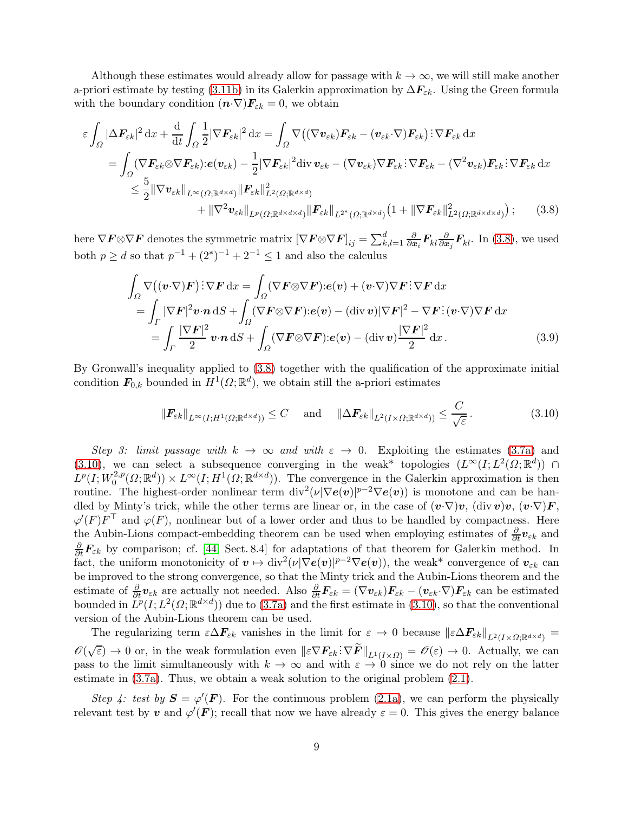Although these estimates would already allow for passage with  $k \to \infty$ , we will still make another a-priori estimate by testing [\(3.11b\)](#page-9-1) in its Galerkin approximation by  $\Delta F_{\varepsilon k}$ . Using the Green formula with the boundary condition  $(\mathbf{n} \cdot \nabla) \mathbf{F}_{\varepsilon k} = 0$ , we obtain

$$
\varepsilon \int_{\Omega} |\Delta \boldsymbol{F}_{\varepsilon k}|^{2} dx + \frac{d}{dt} \int_{\Omega} \frac{1}{2} |\nabla \boldsymbol{F}_{\varepsilon k}|^{2} dx = \int_{\Omega} \nabla \big( (\nabla \boldsymbol{v}_{\varepsilon k}) \boldsymbol{F}_{\varepsilon k} - (\boldsymbol{v}_{\varepsilon k} \cdot \nabla) \boldsymbol{F}_{\varepsilon k} \big) : \nabla \boldsymbol{F}_{\varepsilon k} dx
$$
  
\n
$$
= \int_{\Omega} (\nabla \boldsymbol{F}_{\varepsilon k} \otimes \nabla \boldsymbol{F}_{\varepsilon k}) : e(\boldsymbol{v}_{\varepsilon k}) - \frac{1}{2} |\nabla \boldsymbol{F}_{\varepsilon k}|^{2} \operatorname{div} \boldsymbol{v}_{\varepsilon k} - (\nabla \boldsymbol{v}_{\varepsilon k}) \nabla \boldsymbol{F}_{\varepsilon k} : \nabla \boldsymbol{F}_{\varepsilon k} - (\nabla^{2} \boldsymbol{v}_{\varepsilon k}) \boldsymbol{F}_{\varepsilon k} : \nabla \boldsymbol{F}_{\varepsilon k} : \nabla \boldsymbol{F}_{\varepsilon k} \, dx
$$
  
\n
$$
\leq \frac{5}{2} ||\nabla \boldsymbol{v}_{\varepsilon k}||_{L^{\infty}(\Omega; \mathbb{R}^{d \times d})} ||\boldsymbol{F}_{\varepsilon k}||_{L^{2}(\Omega; \mathbb{R}^{d \times d})}^{2}
$$
  
\n
$$
+ ||\nabla^{2} \boldsymbol{v}_{\varepsilon k}||_{L^{p}(\Omega; \mathbb{R}^{d \times d \times d})} ||\boldsymbol{F}_{\varepsilon k}||_{L^{2^{*}}(\Omega; \mathbb{R}^{d \times d})}^{2} (1 + ||\nabla \boldsymbol{F}_{\varepsilon k}||_{L^{2}(\Omega; \mathbb{R}^{d \times d \times d})}^{2} ); \qquad (3.8)
$$

here  $\nabla \mathbf{F} \otimes \nabla \mathbf{F}$  denotes the symmetric matrix  $[\nabla \mathbf{F} \otimes \nabla \mathbf{F}]_{ij} = \sum_{k,l=1}^{d} \frac{\partial}{\partial x_i} \mathbf{F}_{kl} \frac{\partial}{\partial x_j} \mathbf{F}_{kl}$ . In [\(3.8\)](#page-8-0), we used both  $p \ge d$  so that  $p^{-1} + (2^*)^{-1} + 2^{-1} \le 1$  and also the calculus

<span id="page-8-0"></span>
$$
\int_{\Omega} \nabla \left( (\boldsymbol{v} \cdot \nabla) \boldsymbol{F} \right) : \nabla \boldsymbol{F} \, dx = \int_{\Omega} (\nabla \boldsymbol{F} \otimes \nabla \boldsymbol{F}) : \boldsymbol{e}(\boldsymbol{v}) + (\boldsymbol{v} \cdot \nabla) \nabla \boldsymbol{F} : \nabla \boldsymbol{F} \, dx \n= \int_{\Gamma} |\nabla \boldsymbol{F}|^2 \boldsymbol{v} \cdot \boldsymbol{n} \, dS + \int_{\Omega} (\nabla \boldsymbol{F} \otimes \nabla \boldsymbol{F}) : \boldsymbol{e}(\boldsymbol{v}) - (\text{div } \boldsymbol{v}) |\nabla \boldsymbol{F}|^2 - \nabla \boldsymbol{F} : (\boldsymbol{v} \cdot \nabla) \nabla \boldsymbol{F} \, dx \n= \int_{\Gamma} \frac{|\nabla \boldsymbol{F}|^2}{2} \boldsymbol{v} \cdot \boldsymbol{n} \, dS + \int_{\Omega} (\nabla \boldsymbol{F} \otimes \nabla \boldsymbol{F}) : \boldsymbol{e}(\boldsymbol{v}) - (\text{div } \boldsymbol{v}) \frac{|\nabla \boldsymbol{F}|^2}{2} \, dx.
$$
\n(3.9)

By Gronwall's inequality applied to [\(3.8\)](#page-8-0) together with the qualification of the approximate initial condition  $F_{0,k}$  bounded in  $H^1(\Omega;\mathbb{R}^d)$ , we obtain still the a-priori estimates

<span id="page-8-2"></span><span id="page-8-1"></span>
$$
\|F_{\varepsilon k}\|_{L^{\infty}(I;H^1(\Omega;\mathbb{R}^{d\times d}))} \leq C \quad \text{and} \quad \|\Delta F_{\varepsilon k}\|_{L^2(I\times\Omega;\mathbb{R}^{d\times d}))} \leq \frac{C}{\sqrt{\varepsilon}}.
$$
 (3.10)

Step 3: limit passage with  $k \to \infty$  and with  $\varepsilon \to 0$ . Exploiting the estimates [\(3.7a\)](#page-7-2) and [\(3.10\)](#page-8-2), we can select a subsequence converging in the weak\* topologies  $(L^{\infty}(I; L^{2}(\Omega;\mathbb{R}^{d})) \cap$  $L^p(I;W^{2,p}_0$  $L_0^{2,p}(\Omega;\mathbb{R}^d) \times L^{\infty}(I;H^1(\Omega;\mathbb{R}^{d \times d}))$ . The convergence in the Galerkin approximation is then routine. The highest-order nonlinear term  $\text{div}^2(\nu|\nabla \boldsymbol{e}(\boldsymbol{v})|^{p-2}\nabla \boldsymbol{e}(\boldsymbol{v}))$  is monotone and can be handled by Minty's trick, while the other terms are linear or, in the case of  $(v\cdot \nabla)v$ ,  $(\text{div } v)v$ ,  $(v\cdot \nabla)F$ ,  $\varphi'(F)F^{\top}$  and  $\varphi(F)$ , nonlinear but of a lower order and thus to be handled by compactness. Here the Aubin-Lions compact-embedding theorem can be used when employing estimates of  $\frac{\partial}{\partial t}$ **v**<sub>εk</sub> and  $\frac{\partial}{\partial t}$ **F**<sub>εk</sub> by comparison; cf. [\[44,](#page-13-12) Sect. 8.4] for adaptations of that theorem for Galerkin method. In fact, the uniform monotonicity of  $v \mapsto \text{div}^2(\nu |\nabla e(v)|^{p-2} \nabla e(v))$ , the weak\* convergence of  $v_{\varepsilon k}$  can be improved to the strong convergence, so that the Minty trick and the Aubin-Lions theorem and the estimate of  $\frac{\partial}{\partial t} v_{\varepsilon k}$  are actually not needed. Also  $\frac{\partial}{\partial t} F_{\varepsilon k} = (\nabla v_{\varepsilon k}) F_{\varepsilon k} - (v_{\varepsilon k} \cdot \nabla) F_{\varepsilon k}$  can be estimated bounded in  $L^p(I; L^2(\Omega;\mathbb{R}^{d\times d}))$  due to [\(3.7a\)](#page-7-2) and the first estimate in [\(3.10\)](#page-8-2), so that the conventional version of the Aubin-Lions theorem can be used.

The regularizing term  $\varepsilon \Delta F_{\varepsilon k}$  vanishes in the limit for  $\varepsilon \to 0$  because  $\|\varepsilon \Delta F_{\varepsilon k}\|_{L^2(I\times\Omega;\mathbb{R}^{d\times d})} =$  $\mathscr{O}(\sqrt{\varepsilon}) \to 0$  or, in the weak formulation even  $\|\varepsilon \nabla F_{\varepsilon k} \colon \nabla \widetilde{F}\|_{L^1(I\times\Omega)} = \mathscr{O}(\varepsilon) \to 0$ . Actually, we can pass to the limit simultaneously with  $k \to \infty$  and with  $\varepsilon \to 0$  since we do not rely on the latter estimate in  $(3.7a)$ . Thus, we obtain a weak solution to the original problem  $(2.1)$ .

Step 4: test by  $S = \varphi'(F)$ . For the continuous problem [\(2.1a\)](#page-2-0), we can perform the physically relevant test by v and  $\varphi'(\vec{F})$ ; recall that now we have already  $\varepsilon = 0$ . This gives the energy balance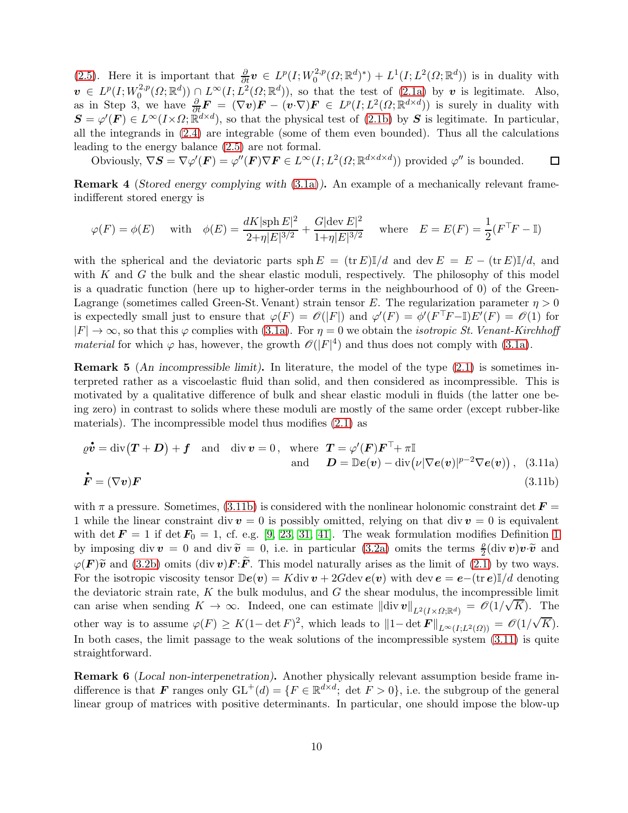[\(2.5\)](#page-4-1). Here it is important that  $\frac{\partial}{\partial t}\boldsymbol{v} \in L^p(I;W_0^{2,p})$  $L^2(D; \mathbb{R}^d)^*) + L^1(I; L^2(\Omega; \mathbb{R}^d))$  is in duality with  $\boldsymbol{v}\ \in\ L^p(I; W^{2,p}_0$  $\mathcal{L}^{2,p}(\Omega;\mathbb{R}^d) \cap L^{\infty}(I;L^2(\Omega;\mathbb{R}^d)),$  so that the test of  $(2.1a)$  by v is legitimate. Also, as in Step 3, we have  $\frac{\partial}{\partial t} \mathbf{F} = (\nabla v) \mathbf{F} - (v \cdot \nabla) \mathbf{F} \in L^p(I; L^2(\Omega; \mathbb{R}^{d \times d}))$  is surely in duality with  $\mathbf{S} = \varphi'(\mathbf{F}) \in L^{\infty}(I \times \Omega; \mathbb{R}^{d \times d})$ , so that the physical test of [\(2.1b\)](#page-2-3) by  $\mathbf{S}$  is legitimate. In particular, all the integrands in [\(2.4\)](#page-3-2) are integrable (some of them even bounded). Thus all the calculations leading to the energy balance [\(2.5\)](#page-4-1) are not formal.

Obviously,  $\nabla S = \nabla \varphi'(\boldsymbol{F}) = \varphi''(\boldsymbol{F}) \nabla \boldsymbol{F} \in L^{\infty}(I; L^{2}(\Omega; \mathbb{R}^{d \times d \times d}))$  provided  $\varphi''$  is bounded.  $\Box$ 

Remark 4 (Stored energy complying with [\(3.1a\)](#page-6-0)). An example of a mechanically relevant frameindifferent stored energy is

$$
\varphi(F) = \phi(E)
$$
 with  $\phi(E) = \frac{dK|\text{sph }E|^2}{2+\eta|E|^{3/2}} + \frac{G|\text{dev }E|^2}{1+\eta|E|^{3/2}}$  where  $E = E(F) = \frac{1}{2}(F^{\top}F - \mathbb{I})$ 

with the spherical and the deviatoric parts  $\text{sph } E = (\text{tr } E) \mathbb{I}/d$  and  $\text{dev } E = E - (\text{tr } E) \mathbb{I}/d$ , and with  $K$  and  $G$  the bulk and the shear elastic moduli, respectively. The philosophy of this model is a quadratic function (here up to higher-order terms in the neighbourhood of 0) of the Green-Lagrange (sometimes called Green-St. Venant) strain tensor E. The regularization parameter  $\eta > 0$ is expectedly small just to ensure that  $\varphi(F) = \mathscr{O}(|F|)$  and  $\varphi'(F) = \phi'(F^T F - I)E'(F) = \mathscr{O}(1)$  for  $|F| \to \infty$ , so that this  $\varphi$  complies with [\(3.1a\)](#page-6-0). For  $\eta = 0$  we obtain the *isotropic St. Venant-Kirchhoff* material for which  $\varphi$  has, however, the growth  $\mathscr{O}(|F|^4)$  and thus does not comply with [\(3.1a\)](#page-6-0).

<span id="page-9-2"></span>ing zero) in contrast to solids where these moduli are mostly of the same order (except rubber-like **Remark 5** (An incompressible limit). In literature, the model of the type  $(2.1)$  is sometimes interpreted rather as a viscoelastic fluid than solid, and then considered as incompressible. This is motivated by a qualitative difference of bulk and shear elastic moduli in fluids (the latter one bematerials). The incompressible model thus modifies [\(2.1\)](#page-2-2) as

<span id="page-9-3"></span><span id="page-9-1"></span>
$$
\rho \dot{\mathbf{v}} = \text{div}(\mathbf{T} + \mathbf{D}) + \mathbf{f} \quad \text{and} \quad \text{div } \mathbf{v} = 0, \quad \text{where} \quad \mathbf{T} = \varphi'(\mathbf{F}) \mathbf{F}^{\top} + \pi \mathbb{I} \n\text{and} \quad \mathbf{D} = \mathbb{D} \mathbf{e}(\mathbf{v}) - \text{div}(\nu |\nabla \mathbf{e}(\mathbf{v})|^{p-2} \nabla \mathbf{e}(\mathbf{v})), \quad (3.11a)
$$
\n
$$
\dot{\mathbf{F}} = (\nabla \mathbf{v}) \mathbf{F}
$$
\n(3.11b)

with  $\pi$  a pressure. Sometimes, [\(3.11b\)](#page-9-1) is considered with the nonlinear holonomic constraint det  $\vec{F}$ 1 while the linear constraint div  $v = 0$  is possibly omitted, relying on that div  $v = 0$  is equivalent with det  $\mathbf{F} = 1$  $\mathbf{F} = 1$  if det  $\mathbf{F}_0 = 1$ , cf. e.g. [\[9,](#page-11-5) [23,](#page-12-6) [31,](#page-12-9) [41\]](#page-13-10). The weak formulation modifies Definition 1 by imposing div  $\mathbf{v} = 0$  and div  $\widetilde{\mathbf{v}} = 0$ , i.e. in particular [\(3.2a\)](#page-6-5) omits the terms  $\frac{\rho}{2}$ (div  $\mathbf{v}$ ) $\mathbf{v} \cdot \widetilde{\mathbf{v}}$  and  $\varphi(\mathbf{F})\tilde{\mathbf{v}}$  and [\(3.2b\)](#page-6-3) omits (div  $\mathbf{v}$ )  $\mathbf{F}:\tilde{\mathbf{F}}$ . This model naturally arises as the limit of [\(2.1\)](#page-2-2) by two ways. For the isotropic viscosity tensor  $\mathbb{D}e(v) = K \text{div } v + 2G \text{div } e(v)$  with  $\text{dev } e = e - (\text{tr } e) \mathbb{I}/d$  denoting the deviatoric strain rate,  $K$  the bulk modulus, and  $G$  the shear modulus, the incompressible limit can arise when sending  $K \to \infty$ . Indeed, one can estimate  $\|\text{div } v\|_{L^2(I \times \Omega;\mathbb{R}^d)} = \mathscr{O}(1/\sqrt{K})$ . The other way is to assume  $\varphi(F) \geq K(1-\det F)^2$ , which leads to  $||1-\det F||_{L^{\infty}(I;L^2(\Omega))} = \mathscr{O}(1/\sqrt{K}).$ In both cases, the limit passage to the weak solutions of the incompressible system  $(3.11)$  is quite straightforward.

<span id="page-9-0"></span>Remark 6 (Local non-interpenetration). Another physically relevant assumption beside frame indifference is that F ranges only  $GL^+(d) = \{F \in \mathbb{R}^{d \times d} \, ; \, \det F > 0\}$ , i.e. the subgroup of the general linear group of matrices with positive determinants. In particular, one should impose the blow-up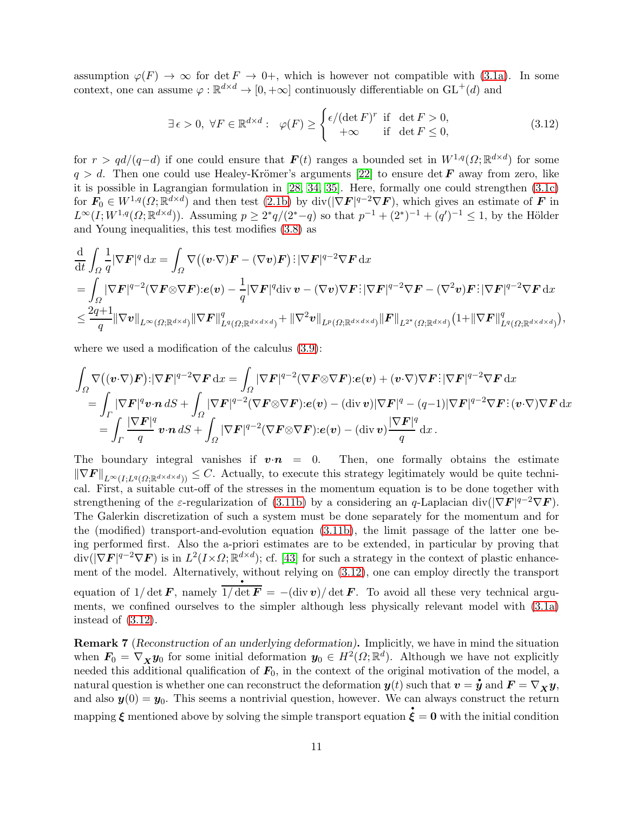assumption  $\varphi(F) \to \infty$  for det  $F \to 0^+$ , which is however not compatible with [\(3.1a\)](#page-6-0). In some context, one can assume  $\varphi : \mathbb{R}^{d \times d} \to [0, +\infty]$  continuously differentiable on  $GL^+(d)$  and

<span id="page-10-0"></span>
$$
\exists \epsilon > 0, \ \forall F \in \mathbb{R}^{d \times d} : \ \varphi(F) \ge \begin{cases} \epsilon/(\det F)^r & \text{if } \det F > 0, \\ +\infty & \text{if } \det F \le 0, \end{cases}
$$
 (3.12)

for  $r > qd/(q-d)$  if one could ensure that  $\boldsymbol{F}(t)$  ranges a bounded set in  $W^{1,q}(\Omega;\mathbb{R}^{d \times d})$  for some  $q > d$ . Then one could use Healey-Krömer's arguments [\[22\]](#page-12-17) to ensure det F away from zero, like it is possible in Lagrangian formulation in [\[28,](#page-12-11) [34,](#page-13-19) [35\]](#page-13-20). Here, formally one could strengthen [\(3.1c\)](#page-6-6) for  $\mathbf{F}_0 \in W^{1,q}(\Omega;\mathbb{R}^{d \times d})$  and then test  $(2.1b)$  by div( $|\nabla \mathbf{F}|^{q-2} \nabla \mathbf{F}$ ), which gives an estimate of  $\mathbf{F}$  in  $L^{\infty}(I;W^{1,q}(\Omega;\mathbb{R}^{d\times d}))$ . Assuming  $p\geq 2^*q/(2^*-q)$  so that  $p^{-1}+(2^*)^{-1}+(q')^{-1}\leq 1$ , by the Hölder and Young inequalities, this test modifies [\(3.8\)](#page-8-0) as

$$
\frac{\mathrm{d}}{\mathrm{d}t} \int_{\Omega} \frac{1}{q} |\nabla F|^q \,\mathrm{d}x = \int_{\Omega} \nabla \big( (\boldsymbol{v} \cdot \nabla) \boldsymbol{F} - (\nabla \boldsymbol{v}) \boldsymbol{F} \big) \, \big| |\nabla F|^{q-2} \nabla F \,\mathrm{d}x \n= \int_{\Omega} |\nabla F|^{q-2} (\nabla F \otimes \nabla F) \, : e(\boldsymbol{v}) - \frac{1}{q} |\nabla F|^q \mathrm{div} \, \boldsymbol{v} - (\nabla \boldsymbol{v}) \nabla F \, \big| |\nabla F|^{q-2} \nabla F - (\nabla^2 \boldsymbol{v}) \boldsymbol{F} \, \big| |\nabla F|^{q-2} \nabla F \,\mathrm{d}x \n\leq \frac{2q+1}{q} ||\nabla \boldsymbol{v}||_{L^{\infty}(\Omega; \mathbb{R}^{d \times d})} ||\nabla F||_{L^q(\Omega; \mathbb{R}^{d \times d \times d})}^q + ||\nabla^2 \boldsymbol{v}||_{L^p(\Omega; \mathbb{R}^{d \times d \times d})} ||\boldsymbol{F}||_{L^{2^*}(\Omega; \mathbb{R}^{d \times d})} (1 + ||\nabla F||_{L^q(\Omega; \mathbb{R}^{d \times d \times d})}^q),
$$

where we used a modification of the calculus  $(3.9)$ :

$$
\int_{\Omega} \nabla \left( (\boldsymbol{v} \cdot \nabla) \boldsymbol{F} \right) : |\nabla \boldsymbol{F}|^{q-2} \nabla \boldsymbol{F} \, dx = \int_{\Omega} |\nabla \boldsymbol{F}|^{q-2} (\nabla \boldsymbol{F} \otimes \nabla \boldsymbol{F}) : \boldsymbol{e}(\boldsymbol{v}) + (\boldsymbol{v} \cdot \nabla) \nabla \boldsymbol{F} : |\nabla \boldsymbol{F}|^{q-2} \nabla \boldsymbol{F} \, dx \n= \int_{\Gamma} |\nabla \boldsymbol{F}|^{q} \boldsymbol{v} \cdot \boldsymbol{n} \, dS + \int_{\Omega} |\nabla \boldsymbol{F}|^{q-2} (\nabla \boldsymbol{F} \otimes \nabla \boldsymbol{F}) : \boldsymbol{e}(\boldsymbol{v}) - (\text{div } \boldsymbol{v}) |\nabla \boldsymbol{F}|^{q} - (q-1) |\nabla \boldsymbol{F}|^{q-2} \nabla \boldsymbol{F} : (\boldsymbol{v} \cdot \nabla) \nabla \boldsymbol{F} \, dx \n= \int_{\Gamma} \frac{|\nabla \boldsymbol{F}|^{q}}{q} \boldsymbol{v} \cdot \boldsymbol{n} \, dS + \int_{\Omega} |\nabla \boldsymbol{F}|^{q-2} (\nabla \boldsymbol{F} \otimes \nabla \boldsymbol{F}) : \boldsymbol{e}(\boldsymbol{v}) - (\text{div } \boldsymbol{v}) \frac{|\nabla \boldsymbol{F}|^{q}}{q} \, dx .
$$

The boundary integral vanishes if  $\mathbf{v}\cdot\mathbf{n} = 0$ . Then, one formally obtains the estimate  $\|\nabla F\|_{L^{\infty}(I;L^q(\Omega;\mathbb{R}^{d\times d\times d}))} \leq C.$  Actually, to execute this strategy legitimately would be quite technical. First, a suitable cut-off of the stresses in the momentum equation is to be done together with strengthening of the  $\varepsilon$ -regularization of [\(3.11b\)](#page-9-1) by a considering an q-Laplacian div( $|\nabla F|^{q-2}\nabla F$ ). The Galerkin discretization of such a system must be done separately for the momentum and for the (modified) transport-and-evolution equation [\(3.11b\)](#page-9-1), the limit passage of the latter one being performed first. Also the a-priori estimates are to be extended, in particular by proving that  $div(|\nabla \mathbf{F}|^{q-2} \nabla \mathbf{F})$  is in  $L^2(I \times \Omega; \mathbb{R}^{d \times d})$ ; cf. [\[43\]](#page-13-21) for such a strategy in the context of plastic enhancement of the model. Alternatively, without relying on  $(3.12)$ , one can employ directly the transport equation of  $1/\det \vec{F}$ , namely  $1/\det \vec{F} = -(\text{div } v)/\det \vec{F}$ . To avoid all these very technical arguments, we confined ourselves to the simpler although less physically relevant model with [\(3.1a\)](#page-6-0) instead of [\(3.12\)](#page-10-0).

Remark 7 (Reconstruction of an underlying deformation). Implicitly, we have in mind the situation when  $\mathbf{F}_0 = \nabla_{\mathbf{X}} \mathbf{y}_0$  for some initial deformation  $\mathbf{y}_0 \in H^2(\Omega; \mathbb{R}^d)$ . Although we have not explicitly needed this additional qualification of  $\mathbf{F}_0$ , in the context of the original motivation of the model, a<br>natural question is whether one can reconstruct the deformation  $u(t)$  such that  $v = \dot{u}$  and  $\mathbf{F} = \nabla u$ . natural question is whether one can reconstruct the deformation  $y(t)$  such that  $v = \dot{y}$  and  $F = \nabla_X y$ , and also  $y(0) = y_0$ . This seems a nontrivial question, however. We can always construct the return mapping  $\xi$  mentioned above by solving the simple transport equation  $\xi = 0$  with the initial condition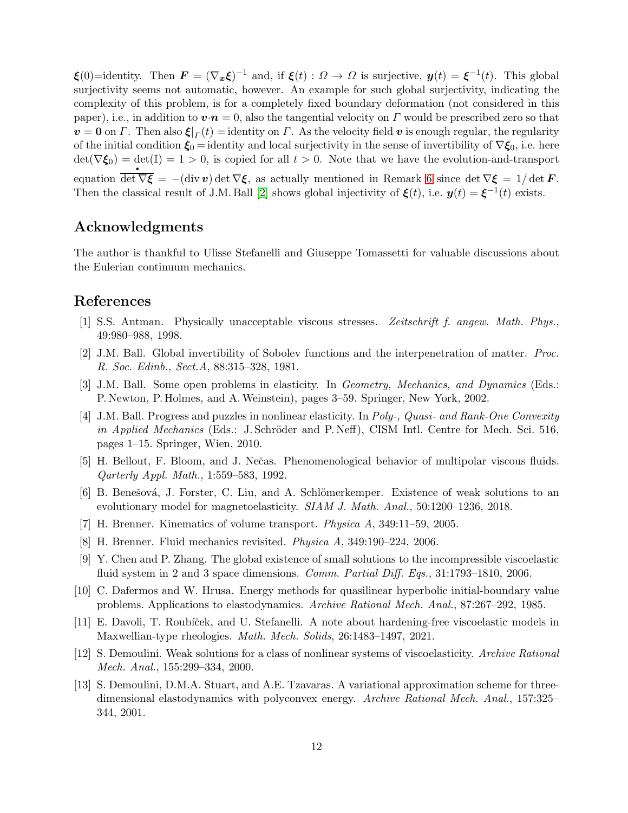$\boldsymbol{\xi}(0) =$ identity. Then  $\boldsymbol{F} = (\nabla_x \boldsymbol{\xi})^{-1}$  and, if  $\boldsymbol{\xi}(t) : \Omega \to \Omega$  is surjective,  $\boldsymbol{y}(t) = \boldsymbol{\xi}^{-1}(t)$ . This global surjectivity seems not automatic, however. An example for such global surjectivity, indicating the complexity of this problem, is for a completely fixed boundary deformation (not considered in this paper), i.e., in addition to  $\mathbf{v}\cdot\mathbf{n}=0$ , also the tangential velocity on  $\Gamma$  would be prescribed zero so that  $\mathbf{v} = \mathbf{0}$  on  $\Gamma$ . Then also  $\xi|_{\Gamma}(t) =$  identity on  $\Gamma$ . As the velocity field  $\mathbf{v}$  is enough regular, the regularity of the initial condition  $\xi_0 =$  identity and local surjectivity in the sense of invertibility of  $\nabla \xi_0$ , i.e. here  $\det(\nabla \xi_0) = \det(\mathbb{I}) = 1 > 0$ , is copied for all  $t > 0$ . Note that we have the evolution-and-transport equation det  $\nabla \xi = -(\text{div } v) \det \nabla \xi$ , as actually mentioned in Remark [6](#page-9-0) since det  $\nabla \xi = 1/\det \mathbf{F}$ . Then the classical result of J.M. Ball [\[2\]](#page-11-12) shows global injectivity of  $\xi(t)$ , i.e.  $y(t) = \xi^{-1}(t)$  exists.

## Acknowledgments

The author is thankful to Ulisse Stefanelli and Giuseppe Tomassetti for valuable discussions about the Eulerian continuum mechanics.

### <span id="page-11-7"></span>References

- <span id="page-11-12"></span>[1] S.S. Antman. Physically unacceptable viscous stresses. Zeitschrift f. angew. Math. Phys., 49:980–988, 1998.
- <span id="page-11-0"></span>[2] J.M. Ball. Global invertibility of Sobolev functions and the interpenetration of matter. Proc. R. Soc. Edinb., Sect.A, 88:315–328, 1981.
- <span id="page-11-1"></span>[3] J.M. Ball. Some open problems in elasticity. In Geometry, Mechanics, and Dynamics (Eds.: P. Newton, P. Holmes, and A.Weinstein), pages 3–59. Springer, New York, 2002.
- [4] J.M. Ball. Progress and puzzles in nonlinear elasticity. In Poly-, Quasi- and Rank-One Convexity in Applied Mechanics (Eds.: J. Schröder and P. Neff), CISM Intl. Centre for Mech. Sci. 516, pages 1–15. Springer, Wien, 2010.
- <span id="page-11-9"></span><span id="page-11-6"></span>[5] H. Bellout, F. Bloom, and J. Nečas. Phenomenological behavior of multipolar viscous fluids. Qarterly Appl. Math., 1:559–583, 1992.
- <span id="page-11-10"></span>[6] B. Benešová, J. Forster, C. Liu, and A. Schlömerkemper. Existence of weak solutions to an evolutionary model for magnetoelasticity. *SIAM J. Math. Anal.*, 50:1200–1236, 2018.
- <span id="page-11-11"></span>[7] H. Brenner. Kinematics of volume transport. Physica A, 349:11–59, 2005.
- <span id="page-11-5"></span>[8] H. Brenner. Fluid mechanics revisited. Physica A, 349:190–224, 2006.
- <span id="page-11-4"></span>[9] Y. Chen and P. Zhang. The global existence of small solutions to the incompressible viscoelastic fluid system in 2 and 3 space dimensions. *Comm. Partial Diff. Eqs.*, 31:1793–1810, 2006.
- <span id="page-11-8"></span>[10] C. Dafermos and W. Hrusa. Energy methods for quasilinear hyperbolic initial-boundary value problems. Applications to elastodynamics. Archive Rational Mech. Anal., 87:267–292, 1985.
- <span id="page-11-2"></span>[11] E. Davoli, T. Roubíček, and U. Stefanelli. A note about hardening-free viscoelastic models in Maxwellian-type rheologies. Math. Mech. Solids, 26:1483–1497, 2021.
- <span id="page-11-3"></span>[12] S. Demoulini. Weak solutions for a class of nonlinear systems of viscoelasticity. Archive Rational Mech. Anal., 155:299–334, 2000.
- [13] S. Demoulini, D.M.A. Stuart, and A.E. Tzavaras. A variational approximation scheme for threedimensional elastodynamics with polyconvex energy. Archive Rational Mech. Anal., 157:325– 344, 2001.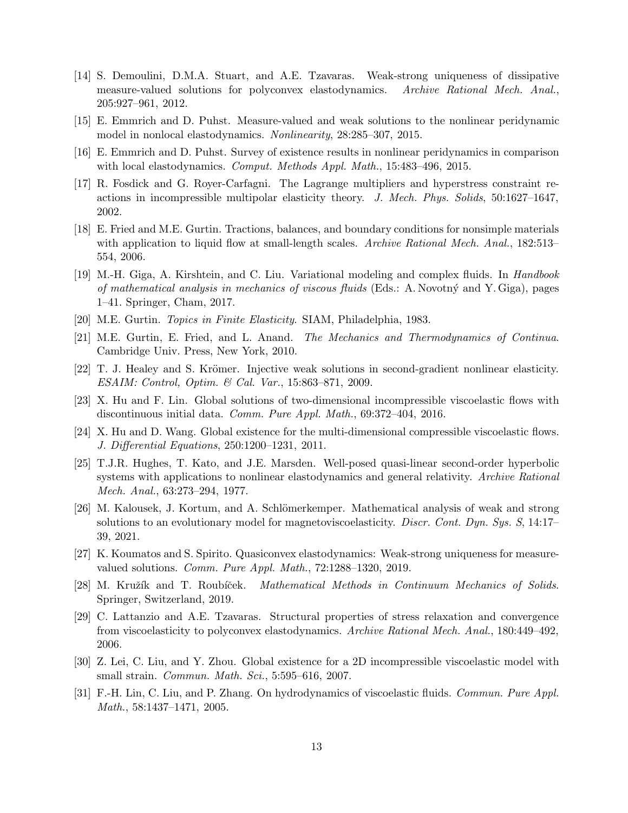- <span id="page-12-0"></span>[14] S. Demoulini, D.M.A. Stuart, and A.E. Tzavaras. Weak-strong uniqueness of dissipative measure-valued solutions for polyconvex elastodynamics. Archive Rational Mech. Anal., 205:927–961, 2012.
- <span id="page-12-5"></span><span id="page-12-4"></span>[15] E. Emmrich and D. Puhst. Measure-valued and weak solutions to the nonlinear peridynamic model in nonlocal elastodynamics. Nonlinearity, 28:285–307, 2015.
- <span id="page-12-16"></span>[16] E. Emmrich and D. Puhst. Survey of existence results in nonlinear peridynamics in comparison with local elastodynamics. Comput. Methods Appl. Math., 15:483–496, 2015.
- [17] R. Fosdick and G. Royer-Carfagni. The Lagrange multipliers and hyperstress constraint reactions in incompressible multipolar elasticity theory. J. Mech. Phys. Solids, 50:1627–1647, 2002.
- <span id="page-12-12"></span>[18] E. Fried and M.E. Gurtin. Tractions, balances, and boundary conditions for nonsimple materials with application to liquid flow at small-length scales. Archive Rational Mech. Anal., 182:513– 554, 2006.
- <span id="page-12-14"></span>[19] M.-H. Giga, A. Kirshtein, and C. Liu. Variational modeling and complex fluids. In Handbook of mathematical analysis in mechanics of viscous fluids (Eds.: A. Novotný and Y. Giga), pages 1–41. Springer, Cham, 2017.
- <span id="page-12-15"></span><span id="page-12-13"></span>[20] M.E. Gurtin. Topics in Finite Elasticity. SIAM, Philadelphia, 1983.
- <span id="page-12-17"></span>[21] M.E. Gurtin, E. Fried, and L. Anand. The Mechanics and Thermodynamics of Continua. Cambridge Univ. Press, New York, 2010.
- <span id="page-12-6"></span>[22] T. J. Healey and S. Krömer. Injective weak solutions in second-gradient nonlinear elasticity. ESAIM: Control, Optim. & Cal. Var., 15:863–871, 2009.
- <span id="page-12-7"></span>[23] X. Hu and F. Lin. Global solutions of two-dimensional incompressible viscoelastic flows with discontinuous initial data. Comm. Pure Appl. Math., 69:372–404, 2016.
- <span id="page-12-2"></span>[24] X. Hu and D. Wang. Global existence for the multi-dimensional compressible viscoelastic flows. J. Differential Equations, 250:1200–1231, 2011.
- [25] T.J.R. Hughes, T. Kato, and J.E. Marsden. Well-posed quasi-linear second-order hyperbolic systems with applications to nonlinear elastodynamics and general relativity. Archive Rational Mech. Anal., 63:273–294, 1977.
- <span id="page-12-10"></span>[26] M. Kalousek, J. Kortum, and A. Schlömerkemper. Mathematical analysis of weak and strong solutions to an evolutionary model for magnetoviscoelasticity. *Discr. Cont. Dyn. Sys. S*, 14:17– 39, 2021.
- <span id="page-12-11"></span><span id="page-12-1"></span>[27] K. Koumatos and S. Spirito. Quasiconvex elastodynamics: Weak-strong uniqueness for measurevalued solutions. Comm. Pure Appl. Math., 72:1288–1320, 2019.
- <span id="page-12-3"></span>[28] M. Kružík and T. Roubíček. *Mathematical Methods in Continuum Mechanics of Solids*. Springer, Switzerland, 2019.
- [29] C. Lattanzio and A.E. Tzavaras. Structural properties of stress relaxation and convergence from viscoelasticity to polyconvex elastodynamics. Archive Rational Mech. Anal., 180:449–492, 2006.
- <span id="page-12-9"></span><span id="page-12-8"></span>[30] Z. Lei, C. Liu, and Y. Zhou. Global existence for a 2D incompressible viscoelastic model with small strain. Commun. Math. Sci., 5:595–616, 2007.
- [31] F.-H. Lin, C. Liu, and P. Zhang. On hydrodynamics of viscoelastic fluids. Commun. Pure Appl. Math., 58:1437–1471, 2005.